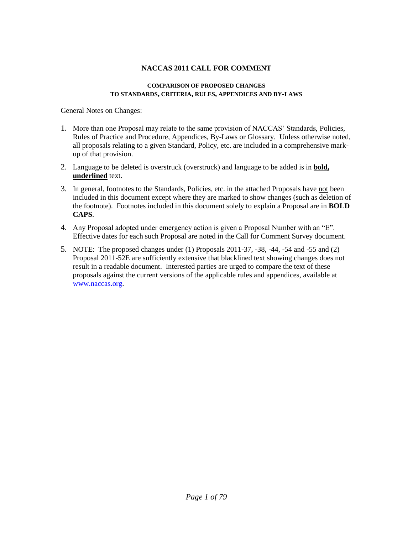#### **COMPARISON OF PROPOSED CHANGES TO STANDARDS, CRITERIA, RULES, APPENDICES AND BY-LAWS**

## General Notes on Changes:

- 1. More than one Proposal may relate to the same provision of NACCAS' Standards, Policies, Rules of Practice and Procedure, Appendices, By-Laws or Glossary. Unless otherwise noted, all proposals relating to a given Standard, Policy, etc. are included in a comprehensive markup of that provision.
- 2. Language to be deleted is overstruck (overstruck) and language to be added is in **bold, underlined** text.
- 3. In general, footnotes to the Standards, Policies, etc. in the attached Proposals have not been included in this document except where they are marked to show changes (such as deletion of the footnote). Footnotes included in this document solely to explain a Proposal are in **BOLD CAPS**.
- 4. Any Proposal adopted under emergency action is given a Proposal Number with an "E". Effective dates for each such Proposal are noted in the Call for Comment Survey document.
- 5. NOTE: The proposed changes under (1) Proposals 2011-37, -38, -44, -54 and -55 and (2) Proposal 2011-52E are sufficiently extensive that blacklined text showing changes does not result in a readable document. Interested parties are urged to compare the text of these proposals against the current versions of the applicable rules and appendices, available at [www.naccas.org.](http://www.naccas.org/)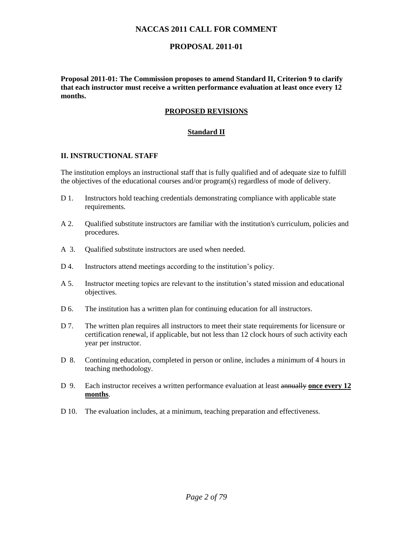# **PROPOSAL 2011-01**

**Proposal 2011-01: The Commission proposes to amend Standard II, Criterion 9 to clarify that each instructor must receive a written performance evaluation at least once every 12 months.**

# **PROPOSED REVISIONS**

## **Standard II**

## **II. INSTRUCTIONAL STAFF**

The institution employs an instructional staff that is fully qualified and of adequate size to fulfill the objectives of the educational courses and/or program(s) regardless of mode of delivery.

- D 1. Instructors hold teaching credentials demonstrating compliance with applicable state requirements.
- A 2. Qualified substitute instructors are familiar with the institution's curriculum, policies and procedures.
- A 3. Oualified substitute instructors are used when needed.
- D 4. Instructors attend meetings according to the institution's policy.
- A 5. Instructor meeting topics are relevant to the institution's stated mission and educational objectives.
- D 6. The institution has a written plan for continuing education for all instructors.
- D 7. The written plan requires all instructors to meet their state requirements for licensure or certification renewal, if applicable, but not less than 12 clock hours of such activity each year per instructor.
- D 8. Continuing education, completed in person or online, includes a minimum of 4 hours in teaching methodology.
- D 9. Each instructor receives a written performance evaluation at least annually **once every 12 months**.
- D 10. The evaluation includes, at a minimum, teaching preparation and effectiveness.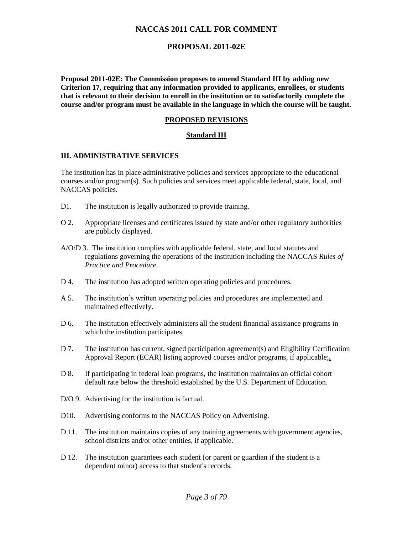# **PROPOSAL 2011-02E**

**Proposal 2011-02E: The Commission proposes to amend Standard III by adding new Criterion 17, requiring that any information provided to applicants, enrollees, or students that is relevant to their decision to enroll in the institution or to satisfactorily complete the course and/or program must be available in the language in which the course will be taught.**

#### **PROPOSED REVISIONS**

#### **Standard III**

#### **III. ADMINISTRATIVE SERVICES**

The institution has in place administrative policies and services appropriate to the educational courses and/or program(s). Such policies and services meet applicable federal, state, local, and NACCAS policies.

- D1. The institution is legally authorized to provide training.
- O 2. Appropriate licenses and certificates issued by state and/or other regulatory authorities are publicly displayed.
- A/O/D 3. The institution complies with applicable federal, state, and local statutes and regulations governing the operations of the institution including the NACCAS *Rules of Practice and Procedure*.
- D 4. The institution has adopted written operating policies and procedures.
- A 5. The institution's written operating policies and procedures are implemented and maintained effectively.
- D 6. The institution effectively administers all the student financial assistance programs in which the institution participates.
- D 7. The institution has current, signed participation agreement(s) and Eligibility Certification Approval Report (ECAR) listing approved courses and/or programs, if applicable;**.**
- D 8. If participating in federal loan programs, the institution maintains an official cohort default rate below the threshold established by the U.S. Department of Education.
- D/O 9. Advertising for the institution is factual.
- D10. Advertising conforms to the NACCAS Policy on Advertising.
- D 11. The institution maintains copies of any training agreements with government agencies, school districts and/or other entities, if applicable.
- D 12. The institution guarantees each student (or parent or guardian if the student is a dependent minor) access to that student's records.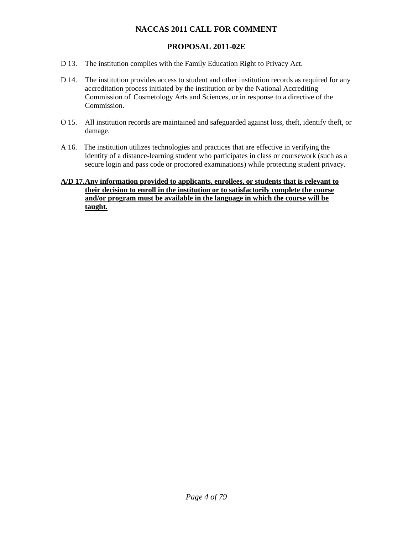# **PROPOSAL 2011-02E**

- D 13. The institution complies with the Family Education Right to Privacy Act.
- D 14. The institution provides access to student and other institution records as required for any accreditation process initiated by the institution or by the National Accrediting Commission of Cosmetology Arts and Sciences, or in response to a directive of the Commission.
- O 15. All institution records are maintained and safeguarded against loss, theft, identify theft, or damage.
- A 16. The institution utilizes technologies and practices that are effective in verifying the identity of a distance-learning student who participates in class or coursework (such as a secure login and pass code or proctored examinations) while protecting student privacy.
- **A/D 17.Any information provided to applicants, enrollees, or students that is relevant to their decision to enroll in the institution or to satisfactorily complete the course and/or program must be available in the language in which the course will be taught.**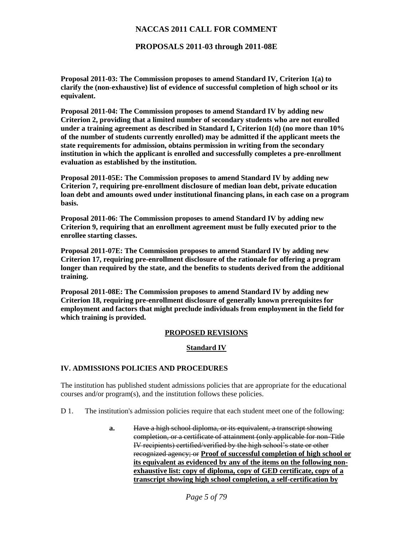**PROPOSALS 2011-03 through 2011-08E**

**Proposal 2011-03: The Commission proposes to amend Standard IV, Criterion 1(a) to clarify the (non-exhaustive) list of evidence of successful completion of high school or its equivalent.**

**Proposal 2011-04: The Commission proposes to amend Standard IV by adding new Criterion 2, providing that a limited number of secondary students who are not enrolled under a training agreement as described in Standard I, Criterion 1(d) (no more than 10% of the number of students currently enrolled) may be admitted if the applicant meets the state requirements for admission, obtains permission in writing from the secondary institution in which the applicant is enrolled and successfully completes a pre-enrollment evaluation as established by the institution.** 

**Proposal 2011-05E: The Commission proposes to amend Standard IV by adding new Criterion 7, requiring pre-enrollment disclosure of median loan debt, private education loan debt and amounts owed under institutional financing plans, in each case on a program basis.** 

**Proposal 2011-06: The Commission proposes to amend Standard IV by adding new Criterion 9, requiring that an enrollment agreement must be fully executed prior to the enrollee starting classes.** 

**Proposal 2011-07E: The Commission proposes to amend Standard IV by adding new Criterion 17, requiring pre-enrollment disclosure of the rationale for offering a program longer than required by the state, and the benefits to students derived from the additional training.** 

**Proposal 2011-08E: The Commission proposes to amend Standard IV by adding new Criterion 18, requiring pre-enrollment disclosure of generally known prerequisites for employment and factors that might preclude individuals from employment in the field for which training is provided.** 

#### **PROPOSED REVISIONS**

#### **Standard IV**

#### **IV. ADMISSIONS POLICIES AND PROCEDURES**

The institution has published student admissions policies that are appropriate for the educational courses and/or program(s), and the institution follows these policies.

- D 1. The institution's admission policies require that each student meet one of the following:
	- **a.** Have a high school diploma, or its equivalent, a transcript showing completion, or a certificate of attainment (only applicable for non-Title IV recipients) certified/verified by the high school's state or other recognized agency; or **Proof of successful completion of high school or its equivalent as evidenced by any of the items on the following nonexhaustive list: copy of diploma, copy of GED certificate, copy of a transcript showing high school completion, a self-certification by**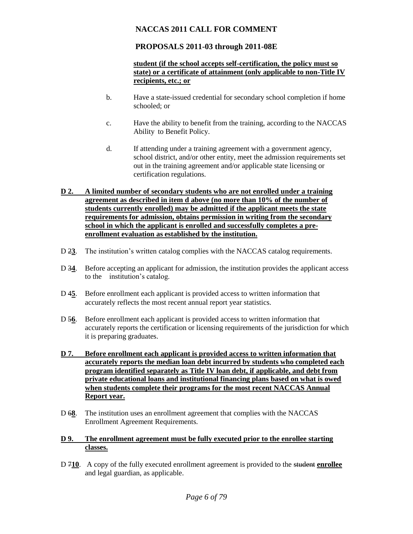# **PROPOSALS 2011-03 through 2011-08E**

## **student (if the school accepts self-certification, the policy must so state) or a certificate of attainment (only applicable to non-Title IV recipients, etc.; or**

- b. Have a state-issued credential for secondary school completion if home schooled; or
- c. Have the ability to benefit from the training, according to the NACCAS Ability to Benefit Policy.
- d. If attending under a training agreement with a government agency, school district, and/or other entity, meet the admission requirements set out in the training agreement and/or applicable state licensing or certification regulations.

#### **D 2. A limited number of secondary students who are not enrolled under a training agreement as described in item d above (no more than 10% of the number of students currently enrolled) may be admitted if the applicant meets the state requirements for admission, obtains permission in writing from the secondary school in which the applicant is enrolled and successfully completes a preenrollment evaluation as established by the institution.**

- D 2**3**. The institution's written catalog complies with the NACCAS catalog requirements.
- D 3**4**. Before accepting an applicant for admission, the institution provides the applicant access to the institution's catalog.
- D 4**5**. Before enrollment each applicant is provided access to written information that accurately reflects the most recent annual report year statistics.
- D 5**6**. Before enrollment each applicant is provided access to written information that accurately reports the certification or licensing requirements of the jurisdiction for which it is preparing graduates.
- **D 7. Before enrollment each applicant is provided access to written information that accurately reports the median loan debt incurred by students who completed each program identified separately as Title IV loan debt, if applicable, and debt from private educational loans and institutional financing plans based on what is owed when students complete their programs for the most recent NACCAS Annual Report year.**
- D 6**8**. The institution uses an enrollment agreement that complies with the NACCAS Enrollment Agreement Requirements.

## **D 9. The enrollment agreement must be fully executed prior to the enrollee starting classes.**

D 7**10**. A copy of the fully executed enrollment agreement is provided to the student **enrollee** and legal guardian, as applicable.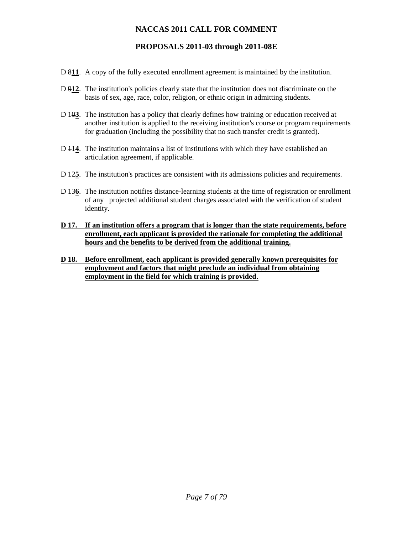# **PROPOSALS 2011-03 through 2011-08E**

- D 8**11**. A copy of the fully executed enrollment agreement is maintained by the institution.
- D 9**12**. The institution's policies clearly state that the institution does not discriminate on the basis of sex, age, race, color, religion, or ethnic origin in admitting students.
- D 10**3**. The institution has a policy that clearly defines how training or education received at another institution is applied to the receiving institution's course or program requirements for graduation (including the possibility that no such transfer credit is granted).
- D 11**4**. The institution maintains a list of institutions with which they have established an articulation agreement, if applicable.
- D 12**5**. The institution's practices are consistent with its admissions policies and requirements.
- D 13**6**. The institution notifies distance-learning students at the time of registration or enrollment of any projected additional student charges associated with the verification of student identity.
- **D 17. If an institution offers a program that is longer than the state requirements, before enrollment, each applicant is provided the rationale for completing the additional hours and the benefits to be derived from the additional training.**
- **D 18. Before enrollment, each applicant is provided generally known prerequisites for employment and factors that might preclude an individual from obtaining employment in the field for which training is provided.**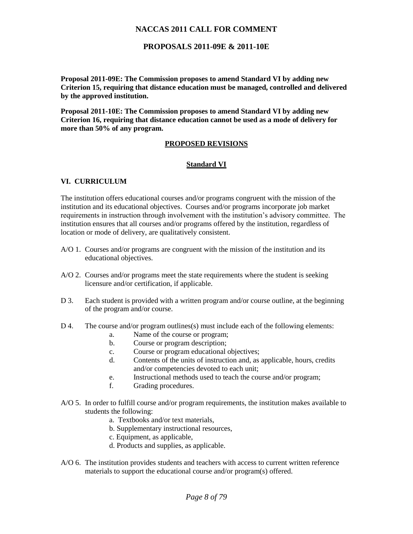## **PROPOSALS 2011-09E & 2011-10E**

**Proposal 2011-09E: The Commission proposes to amend Standard VI by adding new Criterion 15, requiring that distance education must be managed, controlled and delivered by the approved institution.** 

**Proposal 2011-10E: The Commission proposes to amend Standard VI by adding new Criterion 16, requiring that distance education cannot be used as a mode of delivery for more than 50% of any program.** 

#### **PROPOSED REVISIONS**

#### **Standard VI**

#### **VI. CURRICULUM**

The institution offers educational courses and/or programs congruent with the mission of the institution and its educational objectives. Courses and/or programs incorporate job market requirements in instruction through involvement with the institution's advisory committee. The institution ensures that all courses and/or programs offered by the institution, regardless of location or mode of delivery, are qualitatively consistent.

- A/O 1. Courses and/or programs are congruent with the mission of the institution and its educational objectives.
- A/O 2. Courses and/or programs meet the state requirements where the student is seeking licensure and/or certification, if applicable.
- D 3. Each student is provided with a written program and/or course outline, at the beginning of the program and/or course.
- D 4. The course and/or program outlines(s) must include each of the following elements:
	- a. Name of the course or program;
	- b. Course or program description;
	- c. Course or program educational objectives;
	- d. Contents of the units of instruction and, as applicable, hours, credits and/or competencies devoted to each unit;
	- e. Instructional methods used to teach the course and/or program;
	- f. Grading procedures.
- A/O 5. In order to fulfill course and/or program requirements, the institution makes available to students the following:
	- a. Textbooks and/or text materials,
	- b. Supplementary instructional resources,
	- c. Equipment, as applicable,
	- d. Products and supplies, as applicable.
- A/O 6. The institution provides students and teachers with access to current written reference materials to support the educational course and/or program(s) offered.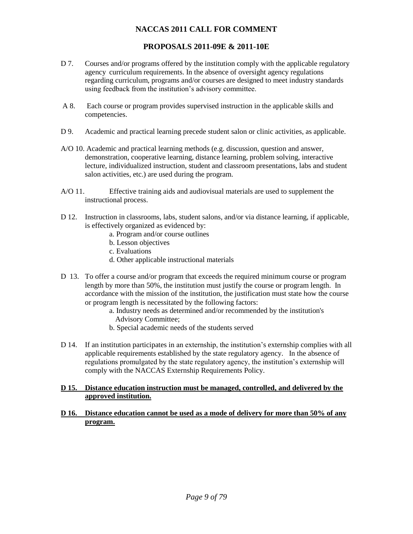# **PROPOSALS 2011-09E & 2011-10E**

- D 7. Courses and/or programs offered by the institution comply with the applicable regulatory agency curriculum requirements. In the absence of oversight agency regulations regarding curriculum, programs and/or courses are designed to meet industry standards using feedback from the institution's advisory committee.
- A 8. Each course or program provides supervised instruction in the applicable skills and competencies.
- D 9. Academic and practical learning precede student salon or clinic activities, as applicable.
- A/O 10. Academic and practical learning methods (e.g. discussion, question and answer, demonstration, cooperative learning, distance learning, problem solving, interactive lecture, individualized instruction, student and classroom presentations, labs and student salon activities, etc.) are used during the program.
- A/O 11. Effective training aids and audiovisual materials are used to supplement the instructional process.
- D 12. Instruction in classrooms, labs, student salons, and/or via distance learning, if applicable, is effectively organized as evidenced by:
	- a. Program and/or course outlines
	- b. Lesson objectives
	- c. Evaluations
	- d. Other applicable instructional materials
- D 13. To offer a course and/or program that exceeds the required minimum course or program length by more than 50%, the institution must justify the course or program length. In accordance with the mission of the institution, the justification must state how the course or program length is necessitated by the following factors:
	- a. Industry needs as determined and/or recommended by the institution's Advisory Committee;
	- b. Special academic needs of the students served
- D 14. If an institution participates in an externship, the institution's externship complies with all applicable requirements established by the state regulatory agency. In the absence of regulations promulgated by the state regulatory agency, the institution's externship will comply with the NACCAS Externship Requirements Policy.

#### **D 15. Distance education instruction must be managed, controlled, and delivered by the approved institution.**

**D 16. Distance education cannot be used as a mode of delivery for more than 50% of any program.**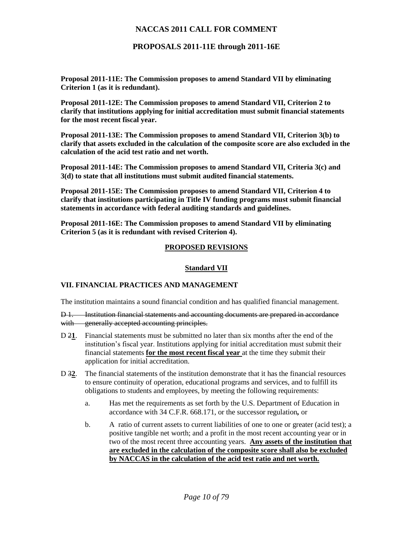**PROPOSALS 2011-11E through 2011-16E**

**Proposal 2011-11E: The Commission proposes to amend Standard VII by eliminating Criterion 1 (as it is redundant).** 

**Proposal 2011-12E: The Commission proposes to amend Standard VII, Criterion 2 to clarify that institutions applying for initial accreditation must submit financial statements for the most recent fiscal year.** 

**Proposal 2011-13E: The Commission proposes to amend Standard VII, Criterion 3(b) to clarify that assets excluded in the calculation of the composite score are also excluded in the calculation of the acid test ratio and net worth.** 

**Proposal 2011-14E: The Commission proposes to amend Standard VII, Criteria 3(c) and 3(d) to state that all institutions must submit audited financial statements.** 

**Proposal 2011-15E: The Commission proposes to amend Standard VII, Criterion 4 to clarify that institutions participating in Title IV funding programs must submit financial statements in accordance with federal auditing standards and guidelines.** 

**Proposal 2011-16E: The Commission proposes to amend Standard VII by eliminating Criterion 5 (as it is redundant with revised Criterion 4).** 

## **PROPOSED REVISIONS**

#### **Standard VII**

#### **VII. FINANCIAL PRACTICES AND MANAGEMENT**

The institution maintains a sound financial condition and has qualified financial management.

D 1. Institution financial statements and accounting documents are prepared in accordance with generally accepted accounting principles.

- D 2**1**. Financial statements must be submitted no later than six months after the end of the institution's fiscal year. Institutions applying for initial accreditation must submit their financial statements **for the most recent fiscal year** at the time they submit their application for initial accreditation.
- D 3**2**. The financial statements of the institution demonstrate that it has the financial resources to ensure continuity of operation, educational programs and services, and to fulfill its obligations to students and employees, by meeting the following requirements:
	- a. Has met the requirements as set forth by the U.S. Department of Education in accordance with 34 C.F.R. 668.171, or the successor regulation*,* or
	- b. A ratio of current assets to current liabilities of one to one or greater (acid test); a positive tangible net worth; and a profit in the most recent accounting year or in two of the most recent three accounting years. **Any assets of the institution that are excluded in the calculation of the composite score shall also be excluded by NACCAS in the calculation of the acid test ratio and net worth.**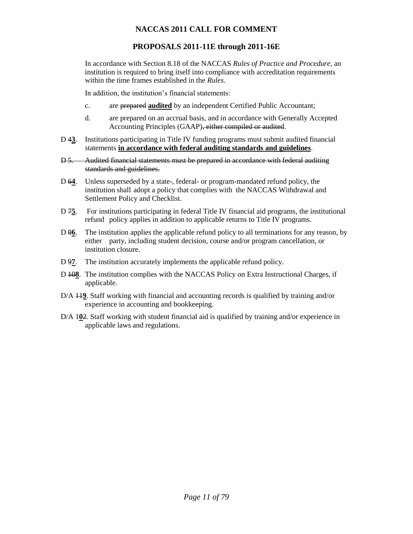# **PROPOSALS 2011-11E through 2011-16E**

In accordance with Section 8.18 of the NACCAS *Rules of Practice and Procedure*, an institution is required to bring itself into compliance with accreditation requirements within the time frames established in the *Rules*.

In addition, the institution's financial statements:

- c. are prepared **audited** by an independent Certified Public Accountant;
- d. are prepared on an accrual basis, and in accordance with Generally Accepted Accounting Principles (GAAP), either compiled or audited.
- D 4**3**. Institutions participating in Title IV funding programs must submit audited financial statements **in accordance with federal auditing standards and guidelines**.
- D 5. Audited financial statements must be prepared in accordance with federal auditing standards and guidelines.
- D 6**4**. Unless superseded by a state-, federal- or program-mandated refund policy, the institution shall adopt a policy that complies with the NACCAS Withdrawal and Settlement Policy and Checklist.
- D 75. For institutions participating in federal Title IV financial aid programs, the institutional refund policy applies in addition to applicable returns to Title IV programs.
- D 8**6**. The institution applies the applicable refund policy to all terminations for any reason, by either party, including student decision, course and/or program cancellation, or institution closure.
- D 9**7**. The institution accurately implements the applicable refund policy.
- D 10**8**. The institution complies with the NACCAS Policy on Extra Instructional Charges, if applicable.
- D/A 11**9**. Staff working with financial and accounting records is qualified by training and/or experience in accounting and bookkeeping.
- D/A 1**0**2. Staff working with student financial aid is qualified by training and/or experience in applicable laws and regulations.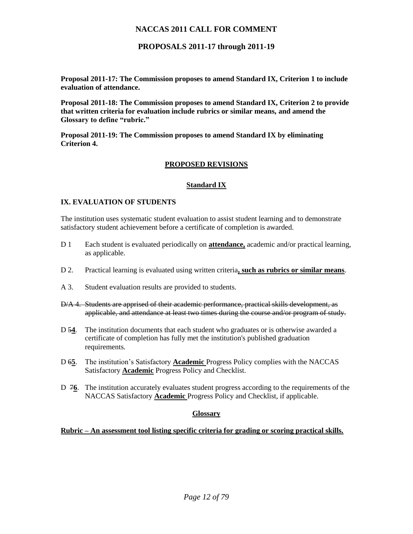**PROPOSALS 2011-17 through 2011-19**

**Proposal 2011-17: The Commission proposes to amend Standard IX, Criterion 1 to include evaluation of attendance.** 

**Proposal 2011-18: The Commission proposes to amend Standard IX, Criterion 2 to provide that written criteria for evaluation include rubrics or similar means, and amend the Glossary to define "rubric."** 

**Proposal 2011-19: The Commission proposes to amend Standard IX by eliminating Criterion 4.** 

## **PROPOSED REVISIONS**

#### **Standard IX**

## **IX. EVALUATION OF STUDENTS**

The institution uses systematic student evaluation to assist student learning and to demonstrate satisfactory student achievement before a certificate of completion is awarded.

- D 1 Each student is evaluated periodically on **attendance,** academic and/or practical learning, as applicable.
- D 2. Practical learning is evaluated using written criteria**, such as rubrics or similar means**.
- A 3. Student evaluation results are provided to students.
- D/A 4. Students are apprised of their academic performance, practical skills development, as applicable, and attendance at least two times during the course and/or program of study.
- D 5**4**. The institution documents that each student who graduates or is otherwise awarded a certificate of completion has fully met the institution's published graduation requirements.
- D 6**5**. The institution's Satisfactory **Academic** Progress Policy complies with the NACCAS Satisfactory **Academic** Progress Policy and Checklist.
- D 7**6**. The institution accurately evaluates student progress according to the requirements of the NACCAS Satisfactory **Academic** Progress Policy and Checklist, if applicable.

#### **Glossary**

**Rubric – An assessment tool listing specific criteria for grading or scoring practical skills.**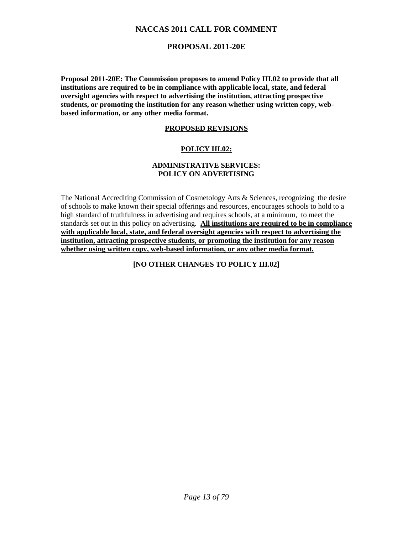# **PROPOSAL 2011-20E**

**Proposal 2011-20E: The Commission proposes to amend Policy III.02 to provide that all institutions are required to be in compliance with applicable local, state, and federal oversight agencies with respect to advertising the institution, attracting prospective students, or promoting the institution for any reason whether using written copy, webbased information, or any other media format.**

## **PROPOSED REVISIONS**

## **POLICY III.02:**

## **ADMINISTRATIVE SERVICES: POLICY ON ADVERTISING**

The National Accrediting Commission of Cosmetology Arts & Sciences, recognizing the desire of schools to make known their special offerings and resources, encourages schools to hold to a high standard of truthfulness in advertising and requires schools, at a minimum, to meet the standards set out in this policy on advertising. **All institutions are required to be in compliance with applicable local, state, and federal oversight agencies with respect to advertising the institution, attracting prospective students, or promoting the institution for any reason whether using written copy, web-based information, or any other media format.**

**[NO OTHER CHANGES TO POLICY III.02]**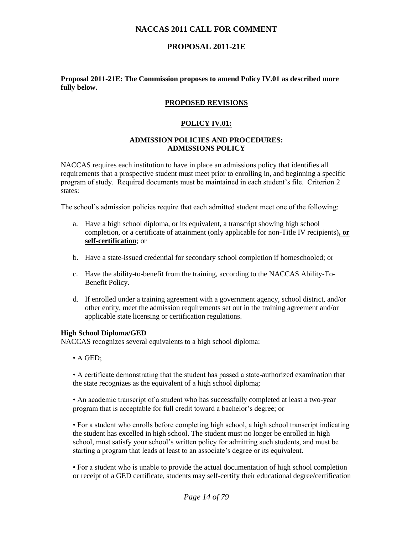# **PROPOSAL 2011-21E**

#### **Proposal 2011-21E: The Commission proposes to amend Policy IV.01 as described more fully below.**

## **PROPOSED REVISIONS**

#### **POLICY IV.01:**

#### **ADMISSION POLICIES AND PROCEDURES: ADMISSIONS POLICY**

NACCAS requires each institution to have in place an admissions policy that identifies all requirements that a prospective student must meet prior to enrolling in, and beginning a specific program of study. Required documents must be maintained in each student's file. Criterion 2 states:

The school's admission policies require that each admitted student meet one of the following:

- a. Have a high school diploma, or its equivalent, a transcript showing high school completion, or a certificate of attainment (only applicable for non-Title IV recipients)**, or self-certification**; or
- b. Have a state-issued credential for secondary school completion if homeschooled; or
- c. Have the ability-to-benefit from the training, according to the NACCAS Ability-To-Benefit Policy.
- d. If enrolled under a training agreement with a government agency, school district, and/or other entity, meet the admission requirements set out in the training agreement and/or applicable state licensing or certification regulations.

#### **High School Diploma/GED**

NACCAS recognizes several equivalents to a high school diploma:

• A GED;

• A certificate demonstrating that the student has passed a state-authorized examination that the state recognizes as the equivalent of a high school diploma;

• An academic transcript of a student who has successfully completed at least a two-year program that is acceptable for full credit toward a bachelor's degree; or

• For a student who enrolls before completing high school, a high school transcript indicating the student has excelled in high school. The student must no longer be enrolled in high school, must satisfy your school's written policy for admitting such students, and must be starting a program that leads at least to an associate's degree or its equivalent.

• For a student who is unable to provide the actual documentation of high school completion or receipt of a GED certificate, students may self-certify their educational degree/certification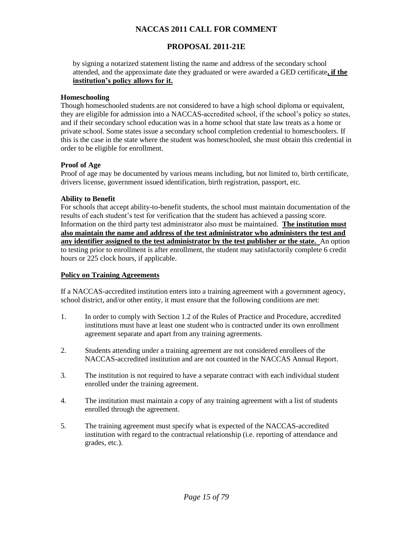# **PROPOSAL 2011-21E**

by signing a notarized statement listing the name and address of the secondary school attended, and the approximate date they graduated or were awarded a GED certificate**, if the institution's policy allows for it.**

## **Homeschooling**

Though homeschooled students are not considered to have a high school diploma or equivalent, they are eligible for admission into a NACCAS-accredited school, if the school's policy so states, and if their secondary school education was in a home school that state law treats as a home or private school. Some states issue a secondary school completion credential to homeschoolers. If this is the case in the state where the student was homeschooled, she must obtain this credential in order to be eligible for enrollment.

## **Proof of Age**

Proof of age may be documented by various means including, but not limited to, birth certificate, drivers license, government issued identification, birth registration, passport, etc.

## **Ability to Benefit**

For schools that accept ability-to-benefit students, the school must maintain documentation of the results of each student's test for verification that the student has achieved a passing score. Information on the third party test administrator also must be maintained. **The institution must also maintain the name and address of the test administrator who administers the test and any identifier assigned to the test administrator by the test publisher or the state.** An option to testing prior to enrollment is after enrollment, the student may satisfactorily complete 6 credit hours or 225 clock hours, if applicable.

#### **Policy on Training Agreements**

If a NACCAS-accredited institution enters into a training agreement with a government agency, school district, and/or other entity, it must ensure that the following conditions are met:

- 1. In order to comply with Section 1.2 of the Rules of Practice and Procedure, accredited institutions must have at least one student who is contracted under its own enrollment agreement separate and apart from any training agreements.
- 2. Students attending under a training agreement are not considered enrollees of the NACCAS-accredited institution and are not counted in the NACCAS Annual Report.
- 3. The institution is not required to have a separate contract with each individual student enrolled under the training agreement.
- 4. The institution must maintain a copy of any training agreement with a list of students enrolled through the agreement.
- 5. The training agreement must specify what is expected of the NACCAS-accredited institution with regard to the contractual relationship (i.e. reporting of attendance and grades, etc.).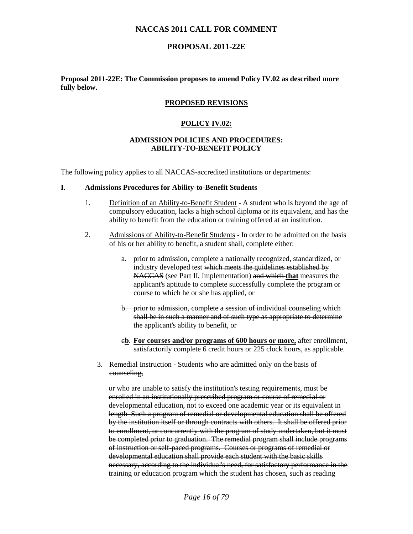## **PROPOSAL 2011-22E**

#### **Proposal 2011-22E: The Commission proposes to amend Policy IV.02 as described more fully below.**

#### **PROPOSED REVISIONS**

#### **POLICY IV.02:**

#### **ADMISSION POLICIES AND PROCEDURES: ABILITY-TO-BENEFIT POLICY**

The following policy applies to all NACCAS-accredited institutions or departments:

#### **I. Admissions Procedures for Ability-to-Benefit Students**

- 1. Definition of an Ability-to-Benefit Student A student who is beyond the age of compulsory education, lacks a high school diploma or its equivalent, and has the ability to benefit from the education or training offered at an institution.
- 2. Admissions of Ability-to-Benefit Students In order to be admitted on the basis of his or her ability to benefit, a student shall, complete either:
	- a. prior to admission, complete a nationally recognized, standardized, or industry developed test which meets the guidelines established by NACCAS (see Part II, Implementation) and which **that** measures the applicant's aptitude to espect to example the program or course to which he or she has applied, or
	- b. prior to admission, complete a session of individual counseling which shall be in such a manner and of such type as appropriate to determine the applicant's ability to benefit, or
	- c**b**. **For courses and/or programs of 600 hours or more,** after enrollment, satisfactorily complete 6 credit hours or 225 clock hours, as applicable.
	- 3. Remedial Instruction Students who are admitted only on the basis of counseling,

or who are unable to satisfy the institution's testing requirements, must be enrolled in an institutionally prescribed program or course of remedial or developmental education, not to exceed one academic year or its equivalent in length Such a program of remedial or developmental education shall be offered by the institution itself or through contracts with others. It shall be offered prior to enrollment, or concurrently with the program of study undertaken, but it must be completed prior to graduation. The remedial program shall include programs of instruction or self-paced programs. Courses or programs of remedial or developmental education shall provide each student with the basic skills necessary, according to the individual's need, for satisfactory performance in the training or education program which the student has chosen, such as reading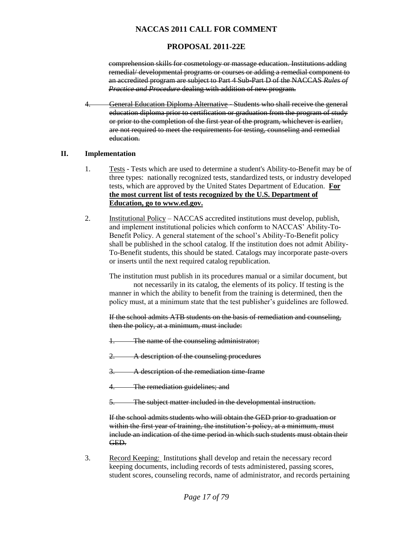# **PROPOSAL 2011-22E**

comprehension skills for cosmetology or massage education. Institutions adding remedial/ developmental programs or courses or adding a remedial component to an accredited program are subject to Part 4 Sub-Part D of the NACCAS *Rules of Practice and Procedure* dealing with addition of new program.

4. General Education Diploma Alternative - Students who shall receive the general education diploma prior to certification or graduation from the program of study or prior to the completion of the first year of the program, whichever is earlier, are not required to meet the requirements for testing, counseling and remedial education.

## **II. Implementation**

- 1. Tests Tests which are used to determine a student's Ability-to-Benefit may be of three types: nationally recognized tests, standardized tests, or industry developed tests, which are approved by the United States Department of Education. **For the most current list of tests recognized by the U.S. Department of Education, go to www.ed.gov.**
- 2. Institutional Policy NACCAS accredited institutions must develop, publish, and implement institutional policies which conform to NACCAS' Ability-To-Benefit Policy. A general statement of the school's Ability-To-Benefit policy shall be published in the school catalog. If the institution does not admit Ability-To-Benefit students, this should be stated. Catalogs may incorporate paste-overs or inserts until the next required catalog republication.

The institution must publish in its procedures manual or a similar document, but

not necessarily in its catalog, the elements of its policy. If testing is the manner in which the ability to benefit from the training is determined, then the policy must, at a minimum state that the test publisher's guidelines are followed.

If the school admits ATB students on the basis of remediation and counseling, then the policy, at a minimum, must include:

- 1. The name of the counseling administrator;
- 2. A description of the counseling procedures
- 3. A description of the remediation time-frame
- 4. The remediation guidelines; and
- 5. The subject matter included in the developmental instruction.

If the school admits students who will obtain the GED prior to graduation or within the first year of training, the institution's policy, at a minimum, must include an indication of the time period in which such students must obtain their GED.

3. Record Keeping: Institutions **s**hall develop and retain the necessary record keeping documents, including records of tests administered, passing scores, student scores, counseling records, name of administrator, and records pertaining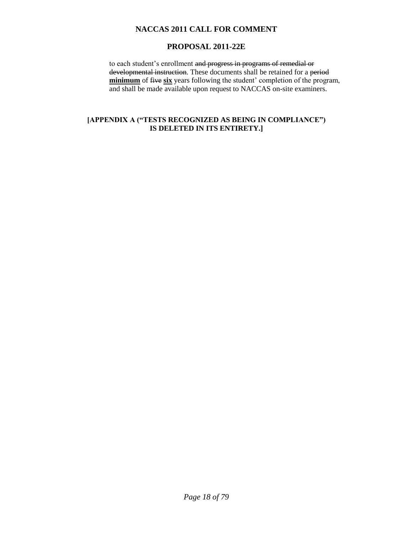# **PROPOSAL 2011-22E**

to each student's enrollment and progress in programs of remedial or developmental instruction. These documents shall be retained for a period **minimum** of five **six** years following the student' completion of the program, and shall be made available upon request to NACCAS on-site examiners.

# **[APPENDIX A ("TESTS RECOGNIZED AS BEING IN COMPLIANCE") IS DELETED IN ITS ENTIRETY.]**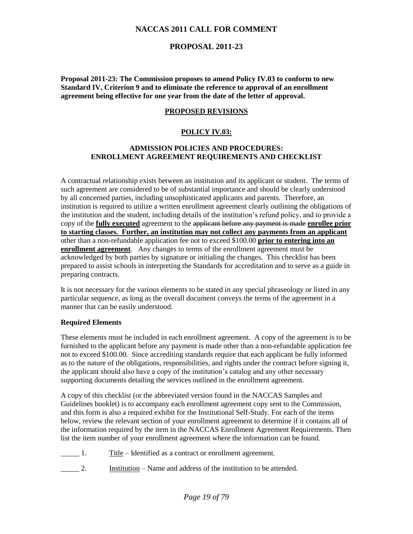# **PROPOSAL 2011-23**

**Proposal 2011-23: The Commission proposes to amend Policy IV.03 to conform to new Standard IV, Criterion 9 and to eliminate the reference to approval of an enrollment agreement being effective for one year from the date of the letter of approval.** 

## **PROPOSED REVISIONS**

## **POLICY IV.03:**

#### **ADMISSION POLICIES AND PROCEDURES: ENROLLMENT AGREEMENT REQUIREMENTS AND CHECKLIST**

A contractual relationship exists between an institution and its applicant or student. The terms of such agreement are considered to be of substantial importance and should be clearly understood by all concerned parties, including unsophisticated applicants and parents. Therefore, an institution is required to utilize a written enrollment agreement clearly outlining the obligations of the institution and the student, including details of the institution's refund policy, and to provide a copy of the **fully executed** agreement to the applicant before any payment is made **enrollee prior to starting classes. Further, an institution may not collect any payments from an applicant** other than a non-refundable application fee not to exceed \$100.00 **prior to entering into an enrollment agreement***.* Any changes to terms of the enrollment agreement must be acknowledged by both parties by signature or initialing the changes. This checklist has been prepared to assist schools in interpreting the Standards for accreditation and to serve as a guide in preparing contracts.

It is not necessary for the various elements to be stated in any special phraseology or listed in any particular sequence, as long as the overall document conveys the terms of the agreement in a manner that can be easily understood.

#### **Required Elements**

These elements must be included in each enrollment agreement. A copy of the agreement is to be furnished to the applicant before any payment is made other than a non-refundable application fee not to exceed \$100.00. Since accrediting standards require that each applicant be fully informed as to the nature of the obligations, responsibilities, and rights under the contract before signing it, the applicant should also have a copy of the institution's catalog and any other necessary supporting documents detailing the services outlined in the enrollment agreement.

A copy of this checklist (or the abbreviated version found in the NACCAS Samples and Guidelines booklet) is to accompany each enrollment agreement copy sent to the Commission, and this form is also a required exhibit for the Institutional Self-Study. For each of the items below, review the relevant section of your enrollment agreement to determine if it contains all of the information required by the item in the NACCAS Enrollment Agreement Requirements. Then list the item number of your enrollment agreement where the information can be found.

- 1. Title Identified as a contract or enrollment agreement.
- \_\_\_\_\_ 2. Institution Name and address of the institution to be attended.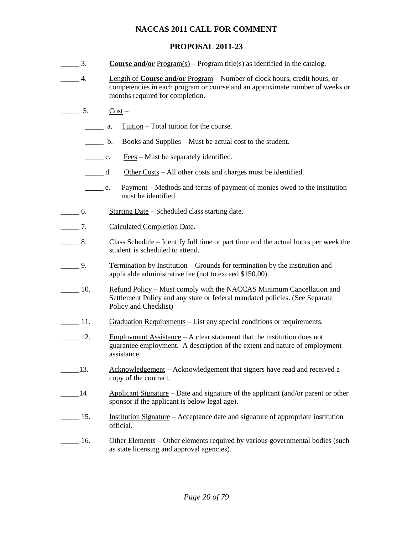# **PROPOSAL 2011-23**

- \_\_\_\_\_ 3. **Course and/or** Program(s) Program title(s) as identified in the catalog.
- \_\_\_\_\_ 4. Length of **Course and/or** Program Number of clock hours, credit hours, or competencies in each program or course and an approximate number of weeks or months required for completion.
- $5.$  Cost
	- **EXECUTE:** a. The Total tuition for the course.
	- b. Books and Supplies Must be actual cost to the student.
	- $\frac{\text{Fees}}{\text{Fees}} \text{Must}$  be separately identified.
	- d. Other Costs All other costs and charges must be identified.
	- **\_\_\_\_\_** e. Payment Methods and terms of payment of monies owed to the institution must be identified.
- \_\_\_\_\_ 6. Starting Date Scheduled class starting date.
- \_\_\_\_\_ 7. Calculated Completion Date.
- \_\_\_\_\_ 8. Class Schedule Identify full time or part time and the actual hours per week the student is scheduled to attend.
- \_\_\_\_\_ 9. Termination by Institution Grounds for termination by the institution and applicable administrative fee (not to exceed \$150.00).
- 10. Refund Policy Must comply with the NACCAS Minimum Cancellation and Settlement Policy and any state or federal mandated policies. (See Separate Policy and Checklist)
- 11. Graduation Requirements List any special conditions or requirements.
- $\frac{12.}{\text{Imployment Assistance} A}$  clear statement that the institution does not guarantee employment. A description of the extent and nature of employment assistance.
- 13. Acknowledgement Acknowledgement that signers have read and received a copy of the contract.
- <sup>14</sup> Applicant Signature Date and signature of the applicant (and/or parent or other sponsor if the applicant is below legal age).
- 15. Institution Signature Acceptance date and signature of appropriate institution official.
- \_\_\_\_\_ 16. Other Elements Other elements required by various governmental bodies (such as state licensing and approval agencies).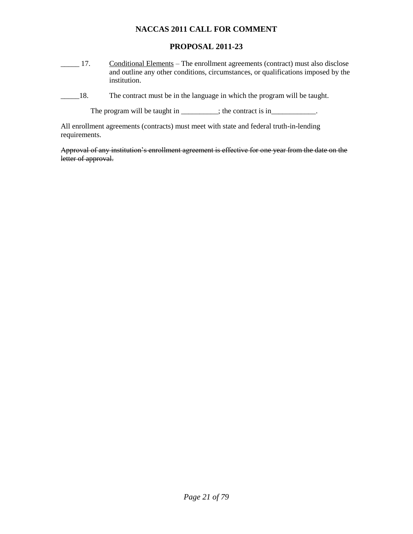# **PROPOSAL 2011-23**

- 17. Conditional Elements The enrollment agreements (contract) must also disclose and outline any other conditions, circumstances, or qualifications imposed by the institution.
- \_\_\_\_\_18. The contract must be in the language in which the program will be taught.

The program will be taught in \_\_\_\_\_\_\_\_; the contract is in\_\_\_\_\_\_\_\_\_\_\_.

All enrollment agreements (contracts) must meet with state and federal truth-in-lending requirements.

Approval of any institution's enrollment agreement is effective for one year from the date on the letter of approval.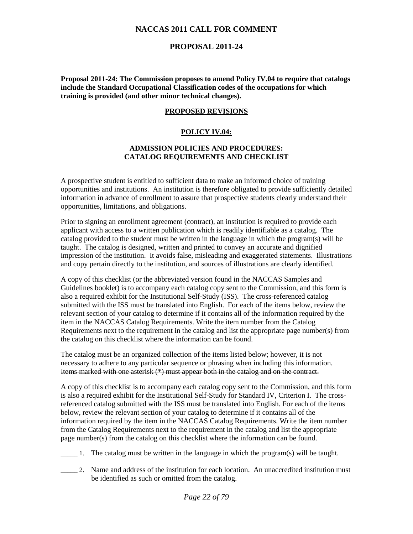# **PROPOSAL 2011-24**

**Proposal 2011-24: The Commission proposes to amend Policy IV.04 to require that catalogs include the Standard Occupational Classification codes of the occupations for which training is provided (and other minor technical changes).**

## **PROPOSED REVISIONS**

## **POLICY IV.04:**

## **ADMISSION POLICIES AND PROCEDURES: CATALOG REQUIREMENTS AND CHECKLIST**

A prospective student is entitled to sufficient data to make an informed choice of training opportunities and institutions. An institution is therefore obligated to provide sufficiently detailed information in advance of enrollment to assure that prospective students clearly understand their opportunities, limitations, and obligations.

Prior to signing an enrollment agreement (contract), an institution is required to provide each applicant with access to a written publication which is readily identifiable as a catalog. The catalog provided to the student must be written in the language in which the program(s) will be taught. The catalog is designed, written and printed to convey an accurate and dignified impression of the institution. It avoids false, misleading and exaggerated statements. Illustrations and copy pertain directly to the institution, and sources of illustrations are clearly identified.

A copy of this checklist (or the abbreviated version found in the NACCAS Samples and Guidelines booklet) is to accompany each catalog copy sent to the Commission, and this form is also a required exhibit for the Institutional Self-Study (ISS). The cross-referenced catalog submitted with the ISS must be translated into English. For each of the items below, review the relevant section of your catalog to determine if it contains all of the information required by the item in the NACCAS Catalog Requirements. Write the item number from the Catalog Requirements next to the requirement in the catalog and list the appropriate page number(s) from the catalog on this checklist where the information can be found.

The catalog must be an organized collection of the items listed below; however, it is not necessary to adhere to any particular sequence or phrasing when including this information. Items marked with one asterisk (\*) must appear both in the catalog and on the contract.

A copy of this checklist is to accompany each catalog copy sent to the Commission, and this form is also a required exhibit for the Institutional Self-Study for Standard IV, Criterion I. The crossreferenced catalog submitted with the ISS must be translated into English. For each of the items below, review the relevant section of your catalog to determine if it contains all of the information required by the item in the NACCAS Catalog Requirements. Write the item number from the Catalog Requirements next to the requirement in the catalog and list the appropriate page number(s) from the catalog on this checklist where the information can be found.

- \_\_\_\_\_ 1. The catalog must be written in the language in which the program(s) will be taught.
- \_\_\_\_\_ 2. Name and address of the institution for each location. An unaccredited institution must be identified as such or omitted from the catalog.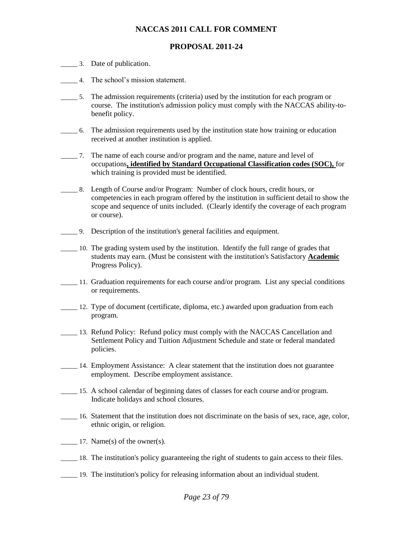# **PROPOSAL 2011-24**

- \_\_\_\_\_ 3. Date of publication.
- \_\_\_\_\_ 4. The school's mission statement.
- \_\_\_\_\_ 5. The admission requirements (criteria) used by the institution for each program or course. The institution's admission policy must comply with the NACCAS ability-tobenefit policy.
- \_\_\_\_\_ 6. The admission requirements used by the institution state how training or education received at another institution is applied.
- \_\_\_\_\_ 7. The name of each course and/or program and the name, nature and level of occupations**, identified by Standard Occupational Classification codes (SOC),** for which training is provided must be identified.
- \_\_\_\_\_ 8. Length of Course and/or Program: Number of clock hours, credit hours, or competencies in each program offered by the institution in sufficient detail to show the scope and sequence of units included. (Clearly identify the coverage of each program or course).
- \_\_\_\_\_ 9. Description of the institution's general facilities and equipment.
- \_\_\_\_\_ 10. The grading system used by the institution. Identify the full range of grades that students may earn. (Must be consistent with the institution's Satisfactory **Academic**  Progress Policy).
- \_\_\_\_\_ 11. Graduation requirements for each course and/or program. List any special conditions or requirements.
- \_\_\_\_\_ 12. Type of document (certificate, diploma, etc.) awarded upon graduation from each program.
- \_\_\_\_\_ 13. Refund Policy: Refund policy must comply with the NACCAS Cancellation and Settlement Policy and Tuition Adjustment Schedule and state or federal mandated policies.
- \_\_\_\_\_ 14. Employment Assistance: A clear statement that the institution does not guarantee employment. Describe employment assistance.
- \_\_\_\_\_ 15. A school calendar of beginning dates of classes for each course and/or program. Indicate holidays and school closures.
- \_\_\_\_\_ 16. Statement that the institution does not discriminate on the basis of sex, race, age, color, ethnic origin, or religion.
- 17. Name(s) of the owner(s).
- \_\_\_\_\_ 18. The institution's policy guaranteeing the right of students to gain access to their files.
- \_\_\_\_\_ 19. The institution's policy for releasing information about an individual student.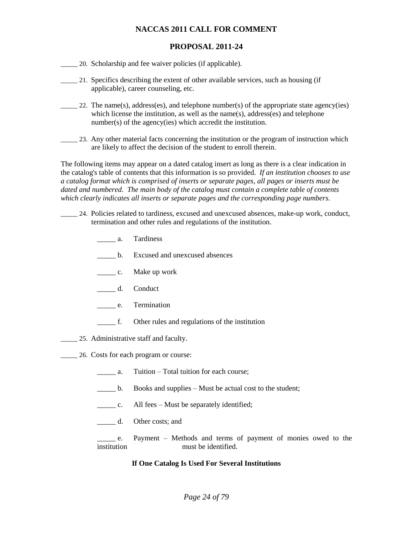# **PROPOSAL 2011-24**

- \_\_\_\_\_ 20. Scholarship and fee waiver policies (if applicable).
- \_\_\_\_\_ 21. Specifics describing the extent of other available services, such as housing (if applicable), career counseling, etc.
- $\frac{1}{22}$ . The name(s), address(es), and telephone number(s) of the appropriate state agency(ies) which license the institution, as well as the name(s), address(es) and telephone number(s) of the agency(ies) which accredit the institution.
- 23. Any other material facts concerning the institution or the program of instruction which are likely to affect the decision of the student to enroll therein.

The following items may appear on a dated catalog insert as long as there is a clear indication in the catalog's table of contents that this information is so provided. *If an institution chooses to use a catalog format which is comprised of inserts or separate pages, all pages or inserts must be dated and numbered. The main body of the catalog must contain a complete table of contents which clearly indicates all inserts or separate pages and the corresponding page numbers.*

- \_\_\_\_\_ 24. Policies related to tardiness, excused and unexcused absences, make-up work, conduct, termination and other rules and regulations of the institution.
	- \_\_\_\_\_ a. Tardiness
	- \_\_\_\_\_ b. Excused and unexcused absences
	- \_\_\_\_\_ c. Make up work
	- \_\_\_\_\_ d. Conduct
	- \_\_\_\_\_ e. Termination
	- \_\_\_\_\_ f. Other rules and regulations of the institution
- \_\_\_\_\_ 25. Administrative staff and faculty.
- \_\_\_\_\_ 26. Costs for each program or course:
	- a. Tuition Total tuition for each course;
	- $\Box$  b. Books and supplies Must be actual cost to the student;
	- c. All fees Must be separately identified;
	- \_\_\_\_\_ d. Other costs; and
	- e. Payment Methods and terms of payment of monies owed to the institution must be identified.

## **If One Catalog Is Used For Several Institutions**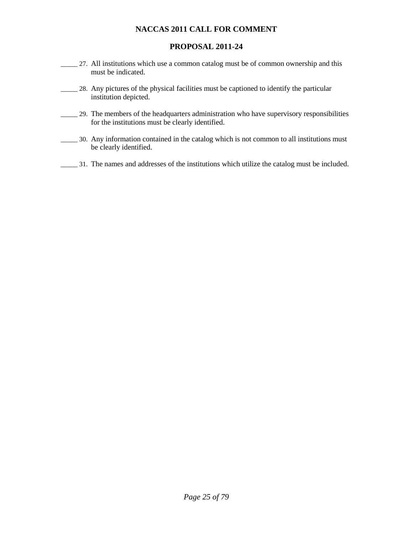# **PROPOSAL 2011-24**

- \_\_\_\_\_ 27. All institutions which use a common catalog must be of common ownership and this must be indicated.
- 28. Any pictures of the physical facilities must be captioned to identify the particular institution depicted.
- \_\_\_\_\_ 29. The members of the headquarters administration who have supervisory responsibilities for the institutions must be clearly identified.
- \_\_\_\_\_ 30. Any information contained in the catalog which is not common to all institutions must be clearly identified.
- \_\_\_\_\_ 31. The names and addresses of the institutions which utilize the catalog must be included.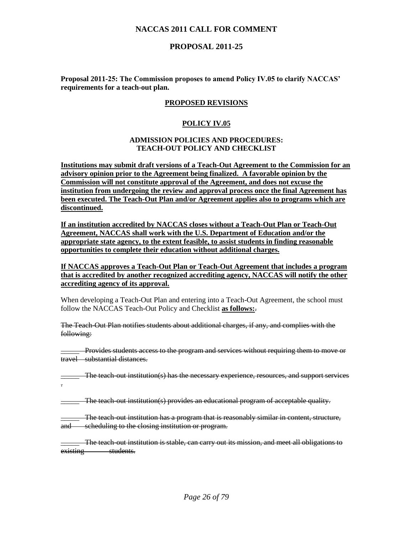# **PROPOSAL 2011-25**

**Proposal 2011-25: The Commission proposes to amend Policy IV.05 to clarify NACCAS' requirements for a teach-out plan.**

## **PROPOSED REVISIONS**

#### **POLICY IV.05**

#### **ADMISSION POLICIES AND PROCEDURES: TEACH-OUT POLICY AND CHECKLIST**

**Institutions may submit draft versions of a Teach-Out Agreement to the Commission for an advisory opinion prior to the Agreement being finalized. A favorable opinion by the Commission will not constitute approval of the Agreement, and does not excuse the institution from undergoing the review and approval process once the final Agreement has been executed. The Teach-Out Plan and/or Agreement applies also to programs which are discontinued.**

**If an institution accredited by NACCAS closes without a Teach-Out Plan or Teach-Out Agreement, NACCAS shall work with the U.S. Department of Education and/or the appropriate state agency, to the extent feasible, to assist students in finding reasonable opportunities to complete their education without additional charges.**

**If NACCAS approves a Teach-Out Plan or Teach-Out Agreement that includes a program that is accredited by another recognized accrediting agency, NACCAS will notify the other accrediting agency of its approval.**

When developing a Teach-Out Plan and entering into a Teach-Out Agreement, the school must follow the NACCAS Teach-Out Policy and Checklist **as follows:**.

The Teach-Out Plan notifies students about additional charges, if any, and complies with the following:

\_\_\_\_\_ Provides students access to the program and services without requiring them to move or travel substantial distances.

**The teach-out institution(s) has the necessary experience, resources, and support services** .

\_\_\_\_\_ The teach-out institution(s) provides an educational program of acceptable quality.

\_\_\_\_\_ The teach-out institution has a program that is reasonably similar in content, structure, and scheduling to the closing institution or program.

\_\_\_\_\_ The teach-out institution is stable, can carry out its mission, and meet all obligations to existing students.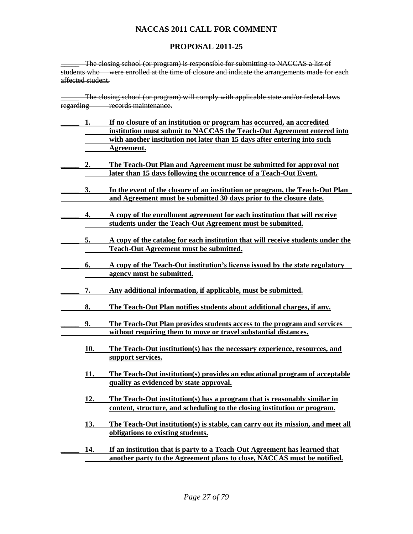# **PROPOSAL 2011-25**

\_\_\_\_\_ The closing school (or program) is responsible for submitting to NACCAS a list of students who were enrolled at the time of closure and indicate the arrangements made for each affected student.

**\_\_\_\_\_** The closing school (or program) will comply with applicable state and/or federal laws regarding records maintenance.

| 1.  | If no closure of an institution or program has occurred, an accredited                                                |  |
|-----|-----------------------------------------------------------------------------------------------------------------------|--|
|     | institution must submit to NACCAS the Teach-Out Agreement entered into                                                |  |
|     | with another institution not later than 15 days after entering into such                                              |  |
|     | Agreement.                                                                                                            |  |
|     |                                                                                                                       |  |
| 2.  | The Teach-Out Plan and Agreement must be submitted for approval not                                                   |  |
|     | later than 15 days following the occurrence of a Teach-Out Event.                                                     |  |
| 3.  | In the event of the closure of an institution or program, the Teach-Out Plan                                          |  |
|     | and Agreement must be submitted 30 days prior to the closure date.                                                    |  |
|     |                                                                                                                       |  |
| 4.  | A copy of the enrollment agreement for each institution that will receive                                             |  |
|     | students under the Teach-Out Agreement must be submitted.                                                             |  |
|     |                                                                                                                       |  |
| 5.  | A copy of the catalog for each institution that will receive students under the                                       |  |
|     | <b>Teach-Out Agreement must be submitted.</b>                                                                         |  |
|     |                                                                                                                       |  |
| 6.  | A copy of the Teach-Out institution's license issued by the state regulatory                                          |  |
|     | agency must be submitted.                                                                                             |  |
|     | Any additional information, if applicable, must be submitted.                                                         |  |
| 7.  |                                                                                                                       |  |
| 8.  | The Teach-Out Plan notifies students about additional charges, if any.                                                |  |
|     |                                                                                                                       |  |
| 9.  | The Teach-Out Plan provides students access to the program and services                                               |  |
|     | without requiring them to move or travel substantial distances.                                                       |  |
|     |                                                                                                                       |  |
| 10. | The Teach-Out institution(s) has the necessary experience, resources, and                                             |  |
|     | support services.                                                                                                     |  |
|     |                                                                                                                       |  |
| 11. | The Teach-Out institution(s) provides an educational program of acceptable<br>quality as evidenced by state approval. |  |
|     |                                                                                                                       |  |
| 12. | The Teach-Out institution(s) has a program that is reasonably similar in                                              |  |
|     | content, structure, and scheduling to the closing institution or program.                                             |  |
|     |                                                                                                                       |  |
| 13. | The Teach-Out institution(s) is stable, can carry out its mission, and meet all                                       |  |
|     | obligations to existing students.                                                                                     |  |
|     |                                                                                                                       |  |
| 14. | If an institution that is party to a Teach-Out Agreement has learned that                                             |  |
|     | another party to the Agreement plans to close, NACCAS must be notified.                                               |  |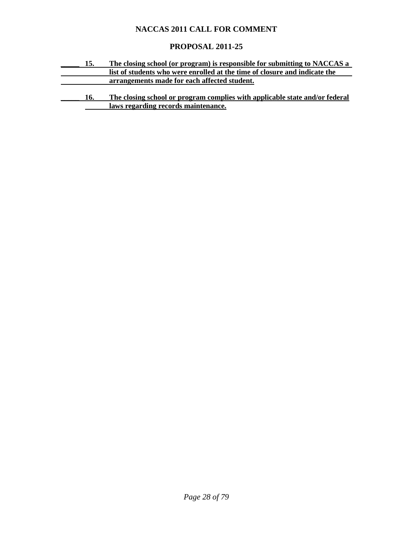# **PROPOSAL 2011-25**

| 15. | The closing school (or program) is responsible for submitting to NACCAS a   |  |
|-----|-----------------------------------------------------------------------------|--|
|     | list of students who were enrolled at the time of closure and indicate the  |  |
|     | arrangements made for each affected student.                                |  |
|     |                                                                             |  |
| 16. | The closing school or program complies with applicable state and/or federal |  |
|     | laws regarding records maintenance.                                         |  |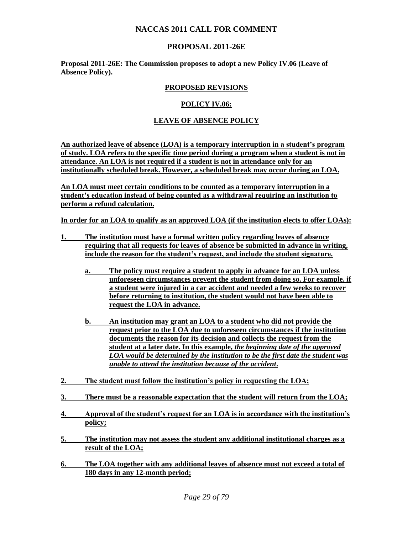# **PROPOSAL 2011-26E**

**Proposal 2011-26E: The Commission proposes to adopt a new Policy IV.06 (Leave of Absence Policy).** 

## **PROPOSED REVISIONS**

## **POLICY IV.06:**

## **LEAVE OF ABSENCE POLICY**

**An authorized leave of absence (LOA) is a temporary interruption in a student's program of study. LOA refers to the specific time period during a program when a student is not in attendance. An LOA is not required if a student is not in attendance only for an institutionally scheduled break. However, a scheduled break may occur during an LOA.** 

**An LOA must meet certain conditions to be counted as a temporary interruption in a student's education instead of being counted as a withdrawal requiring an institution to perform a refund calculation.** 

**In order for an LOA to qualify as an approved LOA (if the institution elects to offer LOAs):**

- **1. The institution must have a formal written policy regarding leaves of absence requiring that all requests for leaves of absence be submitted in advance in writing, include the reason for the student's request, and include the student signature.** 
	- **a. The policy must require a student to apply in advance for an LOA unless unforeseen circumstances prevent the student from doing so. For example, if a student were injured in a car accident and needed a few weeks to recover before returning to institution, the student would not have been able to request the LOA in advance.**
	- **b. An institution may grant an LOA to a student who did not provide the request prior to the LOA due to unforeseen circumstances if the institution documents the reason for its decision and collects the request from the student at a later date. In this example,** *the beginning date of the approved LOA would be determined by the institution to be the first date the student was unable to attend the institution because of the accident***.**
- **2. The student must follow the institution's policy in requesting the LOA;**
- **3. There must be a reasonable expectation that the student will return from the LOA;**
- **4. Approval of the student's request for an LOA is in accordance with the institution's policy;**
- **5. The institution may not assess the student any additional institutional charges as a result of the LOA;**
- **6. The LOA together with any additional leaves of absence must not exceed a total of 180 days in any 12-month period;**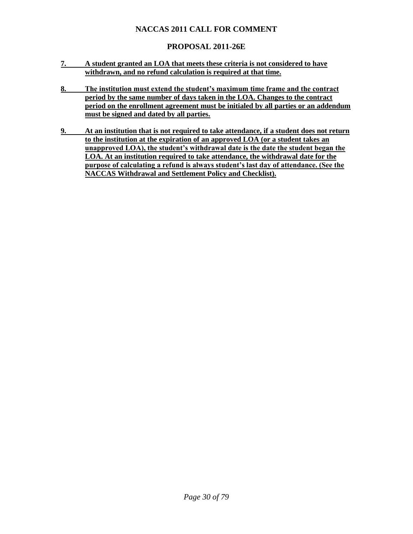# **PROPOSAL 2011-26E**

- **7. A student granted an LOA that meets these criteria is not considered to have withdrawn, and no refund calculation is required at that time.**
- **8. The institution must extend the student's maximum time frame and the contract period by the same number of days taken in the LOA. Changes to the contract period on the enrollment agreement must be initialed by all parties or an addendum must be signed and dated by all parties.**
- **9. At an institution that is not required to take attendance, if a student does not return to the institution at the expiration of an approved LOA (or a student takes an unapproved LOA), the student's withdrawal date is the date the student began the LOA. At an institution required to take attendance, the withdrawal date for the purpose of calculating a refund is always student's last day of attendance. (See the NACCAS Withdrawal and Settlement Policy and Checklist).**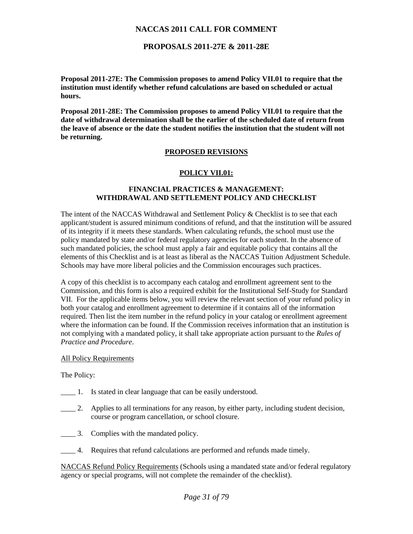## **PROPOSALS 2011-27E & 2011-28E**

**Proposal 2011-27E: The Commission proposes to amend Policy VII.01 to require that the institution must identify whether refund calculations are based on scheduled or actual hours.** 

**Proposal 2011-28E: The Commission proposes to amend Policy VII.01 to require that the date of withdrawal determination shall be the earlier of the scheduled date of return from the leave of absence or the date the student notifies the institution that the student will not be returning.** 

## **PROPOSED REVISIONS**

## **POLICY VII.01:**

#### **FINANCIAL PRACTICES & MANAGEMENT: WITHDRAWAL AND SETTLEMENT POLICY AND CHECKLIST**

The intent of the NACCAS Withdrawal and Settlement Policy  $\&$  Checklist is to see that each applicant/student is assured minimum conditions of refund, and that the institution will be assured of its integrity if it meets these standards. When calculating refunds, the school must use the policy mandated by state and/or federal regulatory agencies for each student. In the absence of such mandated policies, the school must apply a fair and equitable policy that contains all the elements of this Checklist and is at least as liberal as the NACCAS Tuition Adjustment Schedule. Schools may have more liberal policies and the Commission encourages such practices.

A copy of this checklist is to accompany each catalog and enrollment agreement sent to the Commission, and this form is also a required exhibit for the Institutional Self-Study for Standard VII. For the applicable items below, you will review the relevant section of your refund policy in both your catalog and enrollment agreement to determine if it contains all of the information required. Then list the item number in the refund policy in your catalog or enrollment agreement where the information can be found. If the Commission receives information that an institution is not complying with a mandated policy, it shall take appropriate action pursuant to the *Rules of Practice and Procedure*.

#### **All Policy Requirements**

The Policy:

- \_\_\_\_ 1. Is stated in clear language that can be easily understood.
- \_\_\_\_ 2. Applies to all terminations for any reason, by either party, including student decision, course or program cancellation, or school closure.
- \_\_\_\_ 3. Complies with the mandated policy.
- \_\_\_\_ 4. Requires that refund calculations are performed and refunds made timely.

NACCAS Refund Policy Requirements (Schools using a mandated state and/or federal regulatory agency or special programs, will not complete the remainder of the checklist).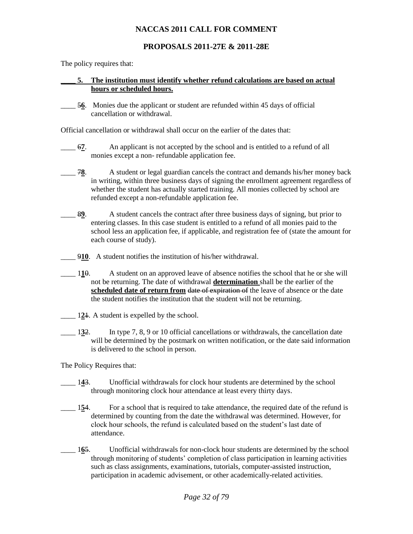# **PROPOSALS 2011-27E & 2011-28E**

The policy requires that:

#### **\_\_\_\_ 5. The institution must identify whether refund calculations are based on actual hours or scheduled hours.**

\_\_\_\_ 5**6**. Monies due the applicant or student are refunded within 45 days of official cancellation or withdrawal.

Official cancellation or withdrawal shall occur on the earlier of the dates that:

- \_\_\_\_ 6**7**. An applicant is not accepted by the school and is entitled to a refund of all monies except a non- refundable application fee.
- **78.** A student or legal guardian cancels the contract and demands his/her money back in writing, within three business days of signing the enrollment agreement regardless of whether the student has actually started training. All monies collected by school are refunded except a non-refundable application fee.
- \_\_\_\_ 8**9**. A student cancels the contract after three business days of signing, but prior to entering classes. In this case student is entitled to a refund of all monies paid to the school less an application fee, if applicable, and registration fee of (state the amount for each course of study).
- \_\_\_\_ 9**10**. A student notifies the institution of his/her withdrawal.
- \_\_\_\_ 1**1**0. A student on an approved leave of absence notifies the school that he or she will not be returning. The date of withdrawal **determination** shall be the earlier of the **scheduled date of return from <del>date of expiration of</del> the leave of absence or the date** the student notifies the institution that the student will not be returning.
- \_\_\_\_ 1**2**1. A student is expelled by the school.
- \_\_\_\_ 1**3**2. In type 7, 8, 9 or 10 official cancellations or withdrawals, the cancellation date will be determined by the postmark on written notification, or the date said information is delivered to the school in person.

The Policy Requires that:

- 143. Unofficial withdrawals for clock hour students are determined by the school through monitoring clock hour attendance at least every thirty days.
- 154. For a school that is required to take attendance, the required date of the refund is determined by counting from the date the withdrawal was determined. However, for clock hour schools, the refund is calculated based on the student's last date of attendance.
- \_\_\_\_ 1**6**5. Unofficial withdrawals for non-clock hour students are determined by the school through monitoring of students' completion of class participation in learning activities such as class assignments, examinations, tutorials, computer-assisted instruction, participation in academic advisement, or other academically-related activities.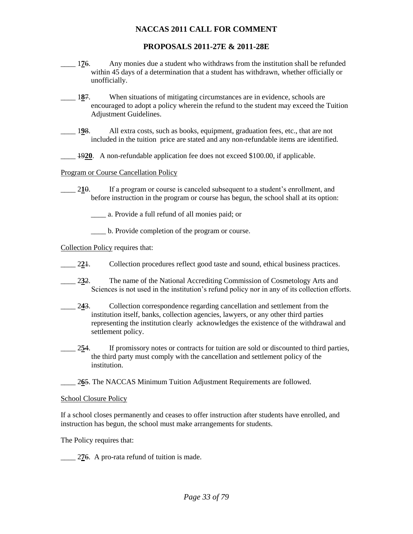# **PROPOSALS 2011-27E & 2011-28E**

- \_\_\_\_ 1**7**6. Any monies due a student who withdraws from the institution shall be refunded within 45 days of a determination that a student has withdrawn, whether officially or unofficially.
- 187. When situations of mitigating circumstances are in evidence, schools are encouraged to adopt a policy wherein the refund to the student may exceed the Tuition Adjustment Guidelines.
- \_\_\_\_ 1**9**8. All extra costs, such as books, equipment, graduation fees, etc., that are not included in the tuition price are stated and any non-refundable items are identified.
- 1920. A non-refundable application fee does not exceed \$100.00, if applicable.

## Program or Course Cancellation Policy

- $\frac{210}{10}$ . If a program or course is canceled subsequent to a student's enrollment, and before instruction in the program or course has begun, the school shall at its option:
	- \_\_\_\_ a. Provide a full refund of all monies paid; or
	- \_\_\_\_ b. Provide completion of the program or course.

Collection Policy requires that:

- 22<sup>1</sup>. Collection procedures reflect good taste and sound, ethical business practices.
- \_\_\_\_ 2**3**2. The name of the National Accrediting Commission of Cosmetology Arts and Sciences is not used in the institution's refund policy nor in any of its collection efforts.
- \_\_\_\_ 2**4**3. Collection correspondence regarding cancellation and settlement from the institution itself, banks, collection agencies, lawyers, or any other third parties representing the institution clearly acknowledges the existence of the withdrawal and settlement policy.
- \_\_\_\_ 2**5**4. If promissory notes or contracts for tuition are sold or discounted to third parties, the third party must comply with the cancellation and settlement policy of the institution.
- 265. The NACCAS Minimum Tuition Adjustment Requirements are followed.

#### School Closure Policy

If a school closes permanently and ceases to offer instruction after students have enrolled, and instruction has begun, the school must make arrangements for students.

The Policy requires that:

\_\_\_\_ 2**7**6. A pro-rata refund of tuition is made.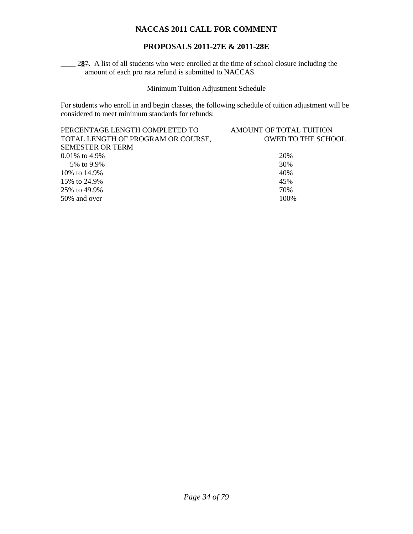# **PROPOSALS 2011-27E & 2011-28E**

287. A list of all students who were enrolled at the time of school closure including the amount of each pro rata refund is submitted to NACCAS.

Minimum Tuition Adjustment Schedule

For students who enroll in and begin classes, the following schedule of tuition adjustment will be considered to meet minimum standards for refunds:

| PERCENTAGE LENGTH COMPLETED TO     | AMOUNT OF TOTAL TUITION   |
|------------------------------------|---------------------------|
| TOTAL LENGTH OF PROGRAM OR COURSE, | <b>OWED TO THE SCHOOL</b> |
| <b>SEMESTER OR TERM</b>            |                           |
| $0.01\%$ to 4.9%                   | 20%                       |
| 5% to 9.9%                         | 30%                       |
| 10\% to 14.9\%                     | 40%                       |
| 15\% to 24.9\%                     | 45%                       |
| 25\% to 49.9\%                     | 70%                       |
| 50% and over                       | 100\%                     |
|                                    |                           |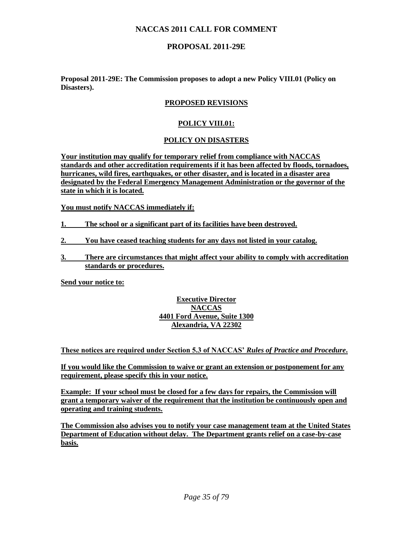# **PROPOSAL 2011-29E**

**Proposal 2011-29E: The Commission proposes to adopt a new Policy VIII.01 (Policy on Disasters).** 

## **PROPOSED REVISIONS**

## **POLICY VIII.01:**

## **POLICY ON DISASTERS**

**Your institution may qualify for temporary relief from compliance with NACCAS standards and other accreditation requirements if it has been affected by floods, tornadoes, hurricanes, wild fires, earthquakes, or other disaster, and is located in a disaster area designated by the Federal Emergency Management Administration or the governor of the state in which it is located.**

**You must notify NACCAS immediately if:**

- **1. The school or a significant part of its facilities have been destroyed.**
- **2. You have ceased teaching students for any days not listed in your catalog.**
- **3. There are circumstances that might affect your ability to comply with accreditation standards or procedures.**

**Send your notice to:**

## **Executive Director NACCAS 4401 Ford Avenue, Suite 1300 Alexandria, VA 22302**

**These notices are required under Section 5.3 of NACCAS'** *Rules of Practice and Procedure***.**

**If you would like the Commission to waive or grant an extension or postponement for any requirement, please specify this in your notice.**

**Example: If your school must be closed for a few days for repairs, the Commission will grant a temporary waiver of the requirement that the institution be continuously open and operating and training students.** 

**The Commission also advises you to notify your case management team at the United States Department of Education without delay. The Department grants relief on a case-by-case basis.**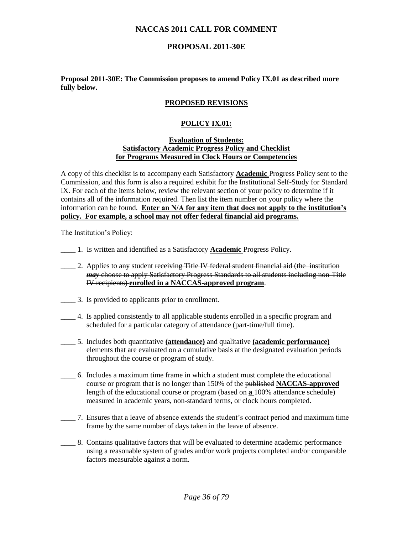# **PROPOSAL 2011-30E**

#### **Proposal 2011-30E: The Commission proposes to amend Policy IX.01 as described more fully below.**

## **PROPOSED REVISIONS**

#### **POLICY IX.01:**

#### **Evaluation of Students: Satisfactory Academic Progress Policy and Checklist for Programs Measured in Clock Hours or Competencies**

A copy of this checklist is to accompany each Satisfactory **Academic** Progress Policy sent to the Commission, and this form is also a required exhibit for the Institutional Self-Study for Standard IX. For each of the items below, review the relevant section of your policy to determine if it contains all of the information required. Then list the item number on your policy where the information can be found. **Enter an N/A for any item that does not apply to the institution's policy. For example, a school may not offer federal financial aid programs.**

The Institution's Policy:

- \_\_\_\_ 1. Is written and identified as a Satisfactory **Academic** Progress Policy.
- 2. Applies to any student receiving Title IV federal student financial aid (the institution *may* choose to apply Satisfactory Progress Standards to all students including non-Title IV recipients) **enrolled in a NACCAS-approved program**.
- \_\_\_\_ 3. Is provided to applicants prior to enrollment.
- 4. Is applied consistently to all applicable-students enrolled in a specific program and scheduled for a particular category of attendance (part-time/full time).
- \_\_\_\_ 5. Includes both quantitative **(attendance)** and qualitative **(academic performance)** elements that are evaluated on a cumulative basis at the designated evaluation periods throughout the course or program of study.
- \_\_\_\_ 6. Includes a maximum time frame in which a student must complete the educational course or program that is no longer than 150% of the published **NACCAS-approved** length of the educational course or program (based on **a** 100% attendance schedule) measured in academic years, non-standard terms, or clock hours completed.
- \_\_\_\_ 7. Ensures that a leave of absence extends the student's contract period and maximum time frame by the same number of days taken in the leave of absence.
- \_\_\_\_ 8. Contains qualitative factors that will be evaluated to determine academic performance using a reasonable system of grades and/or work projects completed and/or comparable factors measurable against a norm.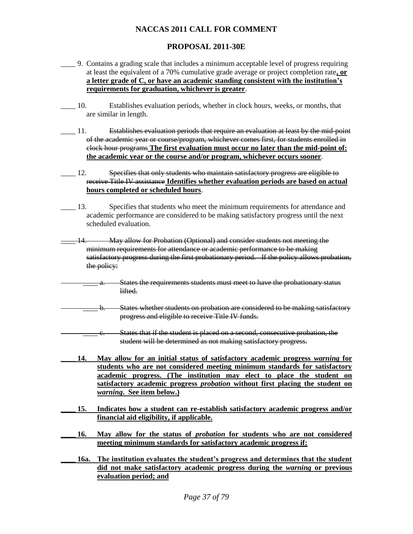### **PROPOSAL 2011-30E**

- \_\_\_\_ 9. Contains a grading scale that includes a minimum acceptable level of progress requiring at least the equivalent of a 70% cumulative grade average or project completion rate**, or a letter grade of C, or have an academic standing consistent with the institution's requirements for graduation, whichever is greater**.
- \_\_\_\_ 10. Establishes evaluation periods, whether in clock hours, weeks, or months, that are similar in length.
- \_\_\_\_ 11. Establishes evaluation periods that require an evaluation at least by the mid-point of the academic year or course/program, whichever comes first, for students enrolled in clock hour programs **The first evaluation must occur no later than the mid-point of: the academic year or the course and/or program, whichever occurs sooner**.
- **EXECUTE:** 12. Specifies that only students who maintain satisfactory progress are eligible to receive Title IV assistance **Identifies whether evaluation periods are based on actual hours completed or scheduled hours**.
- \_\_\_\_ 13. Specifies that students who meet the minimum requirements for attendance and academic performance are considered to be making satisfactory progress until the next scheduled evaluation.
- May allow for Probation (Optional) and consider students not meeting the minimum requirements for attendance or academic performance to be making satisfactory progress during the first probationary period. If the policy allows probation, the policy:
- States the requirements students must meet to have the probationary status lifted.
- b. States whether students on probation are considered to be making satisfactory progress and eligible to receive Title IV funds.
	- States that if the student is placed on a second, consecutive probation, the student will be determined as not making satisfactory progress.
- **\_\_\_\_ 14. May allow for an initial status of satisfactory academic progress** *warning* **for students who are not considered meeting minimum standards for satisfactory academic progress. (The institution may elect to place the student on satisfactory academic progress** *probation* **without first placing the student on**  *warning***. See item below.)**
- **\_\_\_\_ 15. Indicates how a student can re-establish satisfactory academic progress and/or financial aid eligibility, if applicable.**
- **\_\_\_\_ 16. May allow for the status of** *probation* **for students who are not considered meeting minimum standards for satisfactory academic progress if:**
- **\_\_\_\_ 16a. The institution evaluates the student's progress and determines that the student did not make satisfactory academic progress during the** *warning* **or previous evaluation period; and**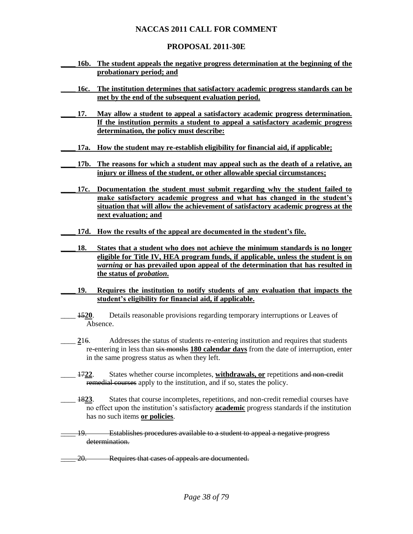#### **PROPOSAL 2011-30E**

- **\_\_\_\_ 16b. The student appeals the negative progress determination at the beginning of the probationary period; and**
- **\_\_\_\_ 16c. The institution determines that satisfactory academic progress standards can be met by the end of the subsequent evaluation period.**
- **\_\_\_\_ 17. May allow a student to appeal a satisfactory academic progress determination. If the institution permits a student to appeal a satisfactory academic progress determination, the policy must describe:**
- **\_\_\_\_ 17a. How the student may re-establish eligibility for financial aid, if applicable;**
	- **\_\_\_\_ 17b. The reasons for which a student may appeal such as the death of a relative, an injury or illness of the student, or other allowable special circumstances;**
- **\_\_\_\_ 17c. Documentation the student must submit regarding why the student failed to make satisfactory academic progress and what has changed in the student's situation that will allow the achievement of satisfactory academic progress at the next evaluation; and**
- **\_\_\_\_ 17d. How the results of the appeal are documented in the student's file.**
- **\_\_\_\_ 18. States that a student who does not achieve the minimum standards is no longer eligible for Title IV, HEA program funds, if applicable, unless the student is on**  *warning* **or has prevailed upon appeal of the determination that has resulted in the status of** *probation***.**
- **\_\_\_\_ 19. Requires the institution to notify students of any evaluation that impacts the student's eligibility for financial aid, if applicable.**
- \_\_\_\_ 15**20**. Details reasonable provisions regarding temporary interruptions or Leaves of Absence.
- 16. Addresses the status of students re-entering institution and requires that students re-entering in less than six months **180 calendar days** from the date of interruption, enter in the same progress status as when they left.
- \_\_\_\_ 17**22**. States whether course incompletes, **withdrawals, or** repetitions and non-credit remedial courses apply to the institution, and if so, states the policy.
- \_\_\_\_ 18**23**. States that course incompletes, repetitions, and non-credit remedial courses have no effect upon the institution's satisfactory **academic** progress standards if the institution has no such items **or policies**.
- \_\_\_\_ 19. Establishes procedures available to a student to appeal a negative progress determination.
- 20. Requires that cases of appeals are documented.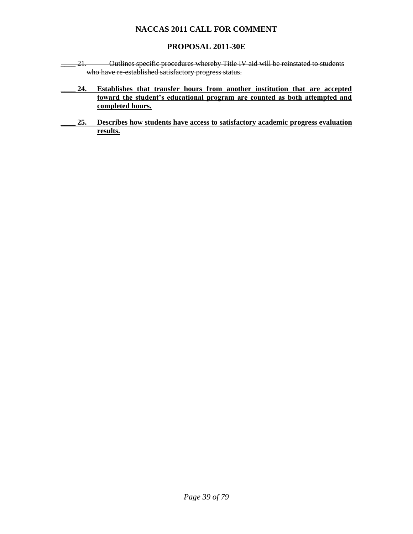### **PROPOSAL 2011-30E**

- \_\_\_\_ 21. Outlines specific procedures whereby Title IV aid will be reinstated to students who have re-established satisfactory progress status.
	- **\_\_\_\_ 24. Establishes that transfer hours from another institution that are accepted toward the student's educational program are counted as both attempted and completed hours.**
	- **\_\_\_\_ 25. Describes how students have access to satisfactory academic progress evaluation results.**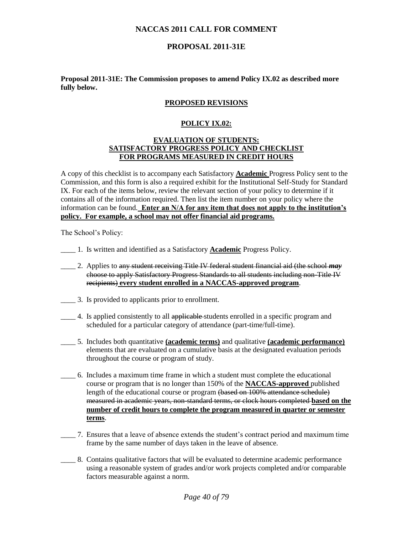### **PROPOSAL 2011-31E**

#### **Proposal 2011-31E: The Commission proposes to amend Policy IX.02 as described more fully below.**

#### **PROPOSED REVISIONS**

#### **POLICY IX.02:**

#### **EVALUATION OF STUDENTS: SATISFACTORY PROGRESS POLICY AND CHECKLIST FOR PROGRAMS MEASURED IN CREDIT HOURS**

A copy of this checklist is to accompany each Satisfactory **Academic** Progress Policy sent to the Commission, and this form is also a required exhibit for the Institutional Self-Study for Standard IX. For each of the items below, review the relevant section of your policy to determine if it contains all of the information required. Then list the item number on your policy where the information can be found. **Enter an N/A for any item that does not apply to the institution's policy. For example, a school may not offer financial aid programs.**

The School's Policy:

- \_\_\_\_ 1. Is written and identified as a Satisfactory **Academic** Progress Policy.
- \_\_\_\_ 2. Applies to any student receiving Title IV federal student financial aid (the school *may* choose to apply Satisfactory Progress Standards to all students including non-Title IV recipients) **every student enrolled in a NACCAS-approved program**.
- \_\_\_\_ 3. Is provided to applicants prior to enrollment.
- 4. Is applied consistently to all applicable students enrolled in a specific program and scheduled for a particular category of attendance (part-time/full-time).
- \_\_\_\_ 5. Includes both quantitative **(academic terms)** and qualitative **(academic performance)** elements that are evaluated on a cumulative basis at the designated evaluation periods throughout the course or program of study.
- \_\_\_\_ 6. Includes a maximum time frame in which a student must complete the educational course or program that is no longer than 150% of the **NACCAS-approved** published length of the educational course or program (based on 100% attendance schedule) measured in academic years, non-standard terms, or clock hours completed **based on the number of credit hours to complete the program measured in quarter or semester terms**.
- \_\_\_\_ 7. Ensures that a leave of absence extends the student's contract period and maximum time frame by the same number of days taken in the leave of absence.
- \_\_\_\_ 8. Contains qualitative factors that will be evaluated to determine academic performance using a reasonable system of grades and/or work projects completed and/or comparable factors measurable against a norm.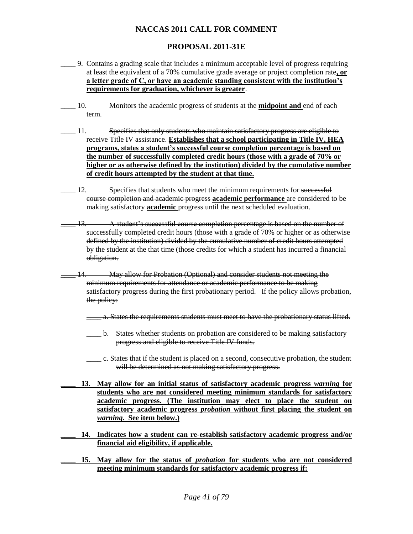### **PROPOSAL 2011-31E**

- \_\_\_\_ 9. Contains a grading scale that includes a minimum acceptable level of progress requiring at least the equivalent of a 70% cumulative grade average or project completion rate**, or a letter grade of C, or have an academic standing consistent with the institution's requirements for graduation, whichever is greater**.
- \_\_\_\_ 10. Monitors the academic progress of students at the **midpoint and** end of each term.
- \_\_\_\_ 11. Specifies that only students who maintain satisfactory progress are eligible to receive Title IV assistance. **Establishes that a school participating in Title IV, HEA programs, states a student's successful course completion percentage is based on the number of successfully completed credit hours (those with a grade of 70% or higher or as otherwise defined by the institution) divided by the cumulative number of credit hours attempted by the student at that time.**
- 12. Specifies that students who meet the minimum requirements for successful course completion and academic progress **academic performance** are considered to be making satisfactory **academic** progress until the next scheduled evaluation.
- \_\_\_\_ 13. A student's successful course completion percentage is based on the number of successfully completed credit hours (those with a grade of 70% or higher or as otherwise defined by the institution) divided by the cumulative number of credit hours attempted by the student at the that time (those credits for which a student has incurred a financial obligation.
- -May allow for Probation (Optional) and consider students not meeting the minimum requirements for attendance or academic performance to be making satisfactory progress during the first probationary period. If the policy allows probation, the policy:
	- \_\_\_\_ a. States the requirements students must meet to have the probationary status lifted.
	- -b. States whether students on probation are considered to be making satisfactory progress and eligible to receive Title IV funds.
	- \_\_\_\_ c. States that if the student is placed on a second, consecutive probation, the student will be determined as not making satisfactory progress.
	- **\_\_\_\_ 13. May allow for an initial status of satisfactory academic progress** *warning* **for students who are not considered meeting minimum standards for satisfactory academic progress. (The institution may elect to place the student on satisfactory academic progress** *probation* **without first placing the student on**  *warning***. See item below.)**
- **\_\_\_\_ 14. Indicates how a student can re-establish satisfactory academic progress and/or financial aid eligibility, if applicable.**
- **\_\_\_\_ 15. May allow for the status of** *probation* **for students who are not considered meeting minimum standards for satisfactory academic progress if:**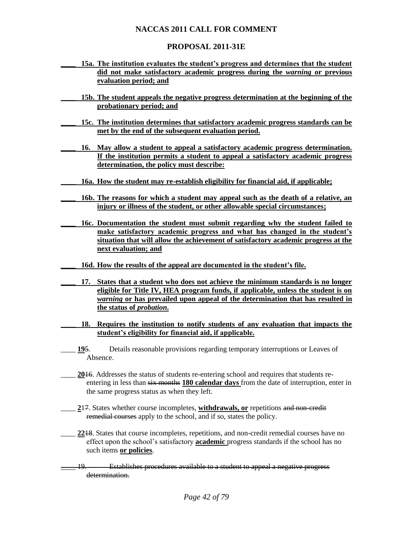### **PROPOSAL 2011-31E**

- **\_\_\_\_ 15a. The institution evaluates the student's progress and determines that the student did not make satisfactory academic progress during the** *warning* **or previous evaluation period; and**
- **\_\_\_\_ 15b. The student appeals the negative progress determination at the beginning of the probationary period; and**
- **\_\_\_\_ 15c. The institution determines that satisfactory academic progress standards can be met by the end of the subsequent evaluation period.**
- **\_\_\_\_ 16. May allow a student to appeal a satisfactory academic progress determination. If the institution permits a student to appeal a satisfactory academic progress determination, the policy must describe:**
- **\_\_\_\_ 16a. How the student may re-establish eligibility for financial aid, if applicable;**
- **\_\_\_\_ 16b. The reasons for which a student may appeal such as the death of a relative, an injury or illness of the student, or other allowable special circumstances;**
- **\_\_\_\_ 16c. Documentation the student must submit regarding why the student failed to make satisfactory academic progress and what has changed in the student's situation that will allow the achievement of satisfactory academic progress at the next evaluation; and**
	- **\_\_\_\_ 16d. How the results of the appeal are documented in the student's file.**
- **\_\_\_\_ 17. States that a student who does not achieve the minimum standards is no longer eligible for Title IV, HEA program funds, if applicable, unless the student is on**  *warning* **or has prevailed upon appeal of the determination that has resulted in the status of** *probation***.**
- **\_\_\_\_ 18. Requires the institution to notify students of any evaluation that impacts the student's eligibility for financial aid, if applicable.**
- \_\_\_\_ **19**5. Details reasonable provisions regarding temporary interruptions or Leaves of Absence.
- 2016. Addresses the status of students re-entering school and requires that students reentering in less than six months **180 calendar days** from the date of interruption, enter in the same progress status as when they left.
- \_\_\_\_ **2**17. States whether course incompletes, **withdrawals, or** repetitions and non-credit remedial courses apply to the school, and if so, states the policy.
- \_\_\_\_ **22**18. States that course incompletes, repetitions, and non-credit remedial courses have no effect upon the school's satisfactory **academic** progress standards if the school has no such items **or policies**.
- \_\_\_\_ 19. Establishes procedures available to a student to appeal a negative progress determination.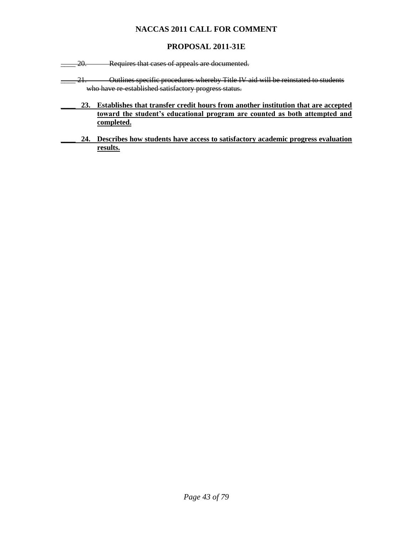# **PROPOSAL 2011-31E**

**\_\_\_\_ 20.** Requires that cases of appeals are documented.

- 21. Outlines specific procedures whereby Title IV aid will be reinstated to students who have re-established satisfactory progress status.
	- **\_\_\_\_ 23. Establishes that transfer credit hours from another institution that are accepted toward the student's educational program are counted as both attempted and completed.**
	- **\_\_\_\_ 24. Describes how students have access to satisfactory academic progress evaluation results.**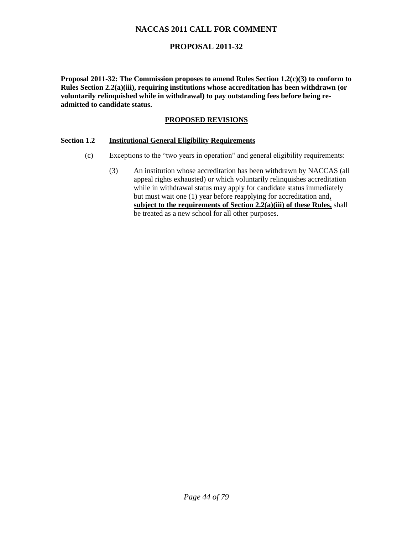### **PROPOSAL 2011-32**

**Proposal 2011-32: The Commission proposes to amend Rules Section 1.2(c)(3) to conform to Rules Section 2.2(a)(iii), requiring institutions whose accreditation has been withdrawn (or voluntarily relinquished while in withdrawal) to pay outstanding fees before being readmitted to candidate status.** 

#### **PROPOSED REVISIONS**

#### **Section 1.2 Institutional General Eligibility Requirements**

- (c) Exceptions to the "two years in operation" and general eligibility requirements:
	- (3) An institution whose accreditation has been withdrawn by NACCAS (all appeal rights exhausted) or which voluntarily relinquishes accreditation while in withdrawal status may apply for candidate status immediately but must wait one (1) year before reapplying for accreditation and**, subject to the requirements of Section 2.2(a)(iii) of these Rules,** shall be treated as a new school for all other purposes.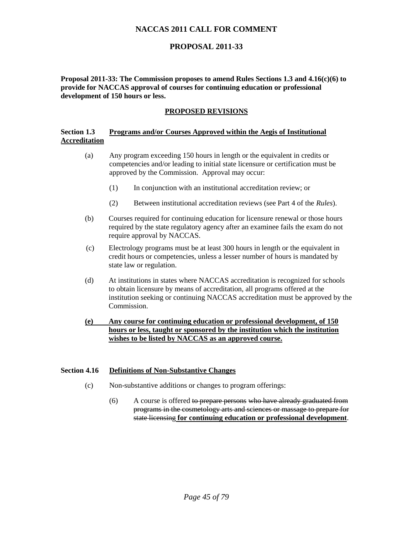### **PROPOSAL 2011-33**

**Proposal 2011-33: The Commission proposes to amend Rules Sections 1.3 and 4.16(c)(6) to provide for NACCAS approval of courses for continuing education or professional development of 150 hours or less.** 

### **PROPOSED REVISIONS**

#### **Section 1.3 Programs and/or Courses Approved within the Aegis of Institutional Accreditation**

- (a) Any program exceeding 150 hours in length or the equivalent in credits or competencies and/or leading to initial state licensure or certification must be approved by the Commission. Approval may occur:
	- (1) In conjunction with an institutional accreditation review; or
	- (2) Between institutional accreditation reviews (see Part 4 of the *Rules*).
- (b) Courses required for continuing education for licensure renewal or those hours required by the state regulatory agency after an examinee fails the exam do not require approval by NACCAS.
- (c) Electrology programs must be at least 300 hours in length or the equivalent in credit hours or competencies, unless a lesser number of hours is mandated by state law or regulation.
- (d) At institutions in states where NACCAS accreditation is recognized for schools to obtain licensure by means of accreditation, all programs offered at the institution seeking or continuing NACCAS accreditation must be approved by the Commission.

#### **(e) Any course for continuing education or professional development, of 150 hours or less, taught or sponsored by the institution which the institution wishes to be listed by NACCAS as an approved course.**

#### **Section 4.16 Definitions of Non-Substantive Changes**

- (c) Non-substantive additions or changes to program offerings:
	- (6) A course is offered to prepare persons who have already graduated from programs in the cosmetology arts and sciences or massage to prepare for state licensing **for continuing education or professional development**.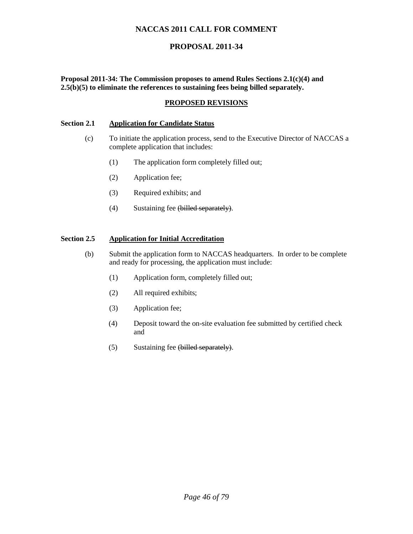# **PROPOSAL 2011-34**

**Proposal 2011-34: The Commission proposes to amend Rules Sections 2.1(c)(4) and 2.5(b)(5) to eliminate the references to sustaining fees being billed separately.**

#### **PROPOSED REVISIONS**

#### **Section 2.1 Application for Candidate Status**

- (c) To initiate the application process, send to the Executive Director of NACCAS a complete application that includes:
	- (1) The application form completely filled out;
	- (2) Application fee;
	- (3) Required exhibits; and
	- (4) Sustaining fee (billed separately).

#### **Section 2.5 Application for Initial Accreditation**

- (b) Submit the application form to NACCAS headquarters. In order to be complete and ready for processing, the application must include:
	- (1) Application form, completely filled out;
	- (2) All required exhibits;
	- (3) Application fee;
	- (4) Deposit toward the on-site evaluation fee submitted by certified check and
	- (5) Sustaining fee (billed separately).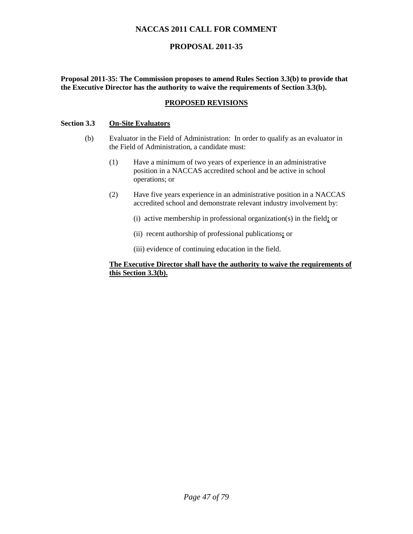# **PROPOSAL 2011-35**

**Proposal 2011-35: The Commission proposes to amend Rules Section 3.3(b) to provide that the Executive Director has the authority to waive the requirements of Section 3.3(b).** 

#### **PROPOSED REVISIONS**

#### **Section 3.3 On-Site Evaluators**

- (b) Evaluator in the Field of Administration: In order to qualify as an evaluator in the Field of Administration, a candidate must:
	- (1) Have a minimum of two years of experience in an administrative position in a NACCAS accredited school and be active in school operations; or
	- (2) Have five years experience in an administrative position in a NACCAS accredited school and demonstrate relevant industry involvement by:
		- (i) active membership in professional organization(s) in the field**;** or
		- (ii) recent authorship of professional publications**;** or
		- (iii) evidence of continuing education in the field.

#### **The Executive Director shall have the authority to waive the requirements of this Section 3.3(b).**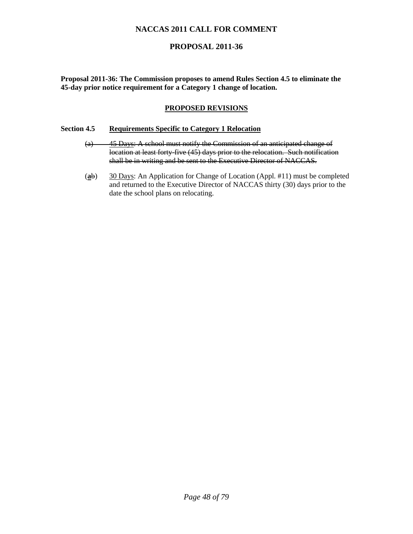### **PROPOSAL 2011-36**

**Proposal 2011-36: The Commission proposes to amend Rules Section 4.5 to eliminate the 45-day prior notice requirement for a Category 1 change of location.** 

#### **PROPOSED REVISIONS**

#### **Section 4.5 Requirements Specific to Category 1 Relocation**

- (a) 45 Days: A school must notify the Commission of an anticipated change of location at least forty-five (45) days prior to the relocation. Such notification shall be in writing and be sent to the Executive Director of NACCAS.
- (**a**b) 30 Days: An Application for Change of Location (Appl. #11) must be completed and returned to the Executive Director of NACCAS thirty (30) days prior to the date the school plans on relocating.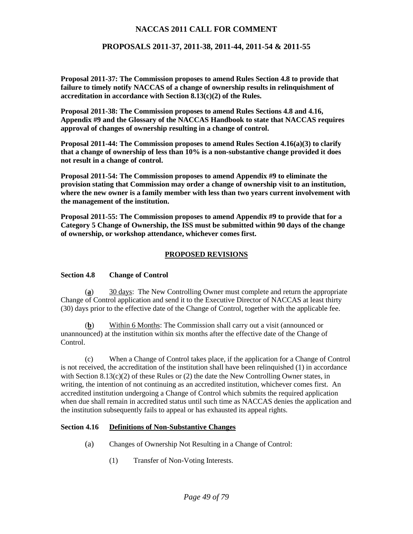### **PROPOSALS 2011-37, 2011-38, 2011-44, 2011-54 & 2011-55**

**Proposal 2011-37: The Commission proposes to amend Rules Section 4.8 to provide that failure to timely notify NACCAS of a change of ownership results in relinquishment of accreditation in accordance with Section 8.13(c)(2) of the Rules.** 

**Proposal 2011-38: The Commission proposes to amend Rules Sections 4.8 and 4.16, Appendix #9 and the Glossary of the NACCAS Handbook to state that NACCAS requires approval of changes of ownership resulting in a change of control.** 

**Proposal 2011-44: The Commission proposes to amend Rules Section 4.16(a)(3) to clarify that a change of ownership of less than 10% is a non-substantive change provided it does not result in a change of control.** 

**Proposal 2011-54: The Commission proposes to amend Appendix #9 to eliminate the provision stating that Commission may order a change of ownership visit to an institution, where the new owner is a family member with less than two years current involvement with the management of the institution.** 

**Proposal 2011-55: The Commission proposes to amend Appendix #9 to provide that for a Category 5 Change of Ownership, the ISS must be submitted within 90 days of the change of ownership, or workshop attendance, whichever comes first.** 

#### **PROPOSED REVISIONS**

#### **Section 4.8 Change of Control**

(**a**) 30 days: The New Controlling Owner must complete and return the appropriate Change of Control application and send it to the Executive Director of NACCAS at least thirty (30) days prior to the effective date of the Change of Control, together with the applicable fee.

Within 6 Months: The Commission shall carry out a visit (announced or unannounced) at the institution within six months after the effective date of the Change of Control.

(c) When a Change of Control takes place, if the application for a Change of Control is not received, the accreditation of the institution shall have been relinquished (1) in accordance with Section  $8.13(c)(2)$  of these Rules or (2) the date the New Controlling Owner states, in writing, the intention of not continuing as an accredited institution, whichever comes first. An accredited institution undergoing a Change of Control which submits the required application when due shall remain in accredited status until such time as NACCAS denies the application and the institution subsequently fails to appeal or has exhausted its appeal rights.

#### **Section 4.16 Definitions of Non-Substantive Changes**

- (a) Changes of Ownership Not Resulting in a Change of Control:
	- (1) Transfer of Non-Voting Interests.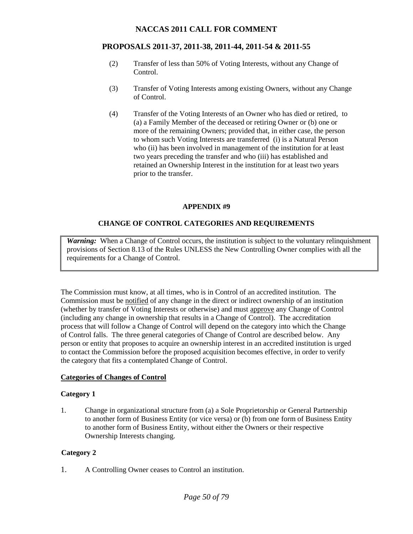### **PROPOSALS 2011-37, 2011-38, 2011-44, 2011-54 & 2011-55**

- (2) Transfer of less than 50% of Voting Interests, without any Change of Control.
- (3) Transfer of Voting Interests among existing Owners, without any Change of Control.
- (4) Transfer of the Voting Interests of an Owner who has died or retired, to (a) a Family Member of the deceased or retiring Owner or (b) one or more of the remaining Owners; provided that, in either case, the person to whom such Voting Interests are transferred (i) is a Natural Person who (ii) has been involved in management of the institution for at least two years preceding the transfer and who (iii) has established and retained an Ownership Interest in the institution for at least two years prior to the transfer.

#### **APPENDIX #9**

#### **CHANGE OF CONTROL CATEGORIES AND REQUIREMENTS**

*Warning:* When a Change of Control occurs, the institution is subject to the voluntary relinquishment provisions of Section 8.13 of the Rules UNLESS the New Controlling Owner complies with all the requirements for a Change of Control.

The Commission must know, at all times, who is in Control of an accredited institution. The Commission must be notified of any change in the direct or indirect ownership of an institution (whether by transfer of Voting Interests or otherwise) and must approve any Change of Control (including any change in ownership that results in a Change of Control). The accreditation process that will follow a Change of Control will depend on the category into which the Change of Control falls. The three general categories of Change of Control are described below. Any person or entity that proposes to acquire an ownership interest in an accredited institution is urged to contact the Commission before the proposed acquisition becomes effective, in order to verify the category that fits a contemplated Change of Control.

#### **Categories of Changes of Control**

#### **Category 1**

1. Change in organizational structure from (a) a Sole Proprietorship or General Partnership to another form of Business Entity (or vice versa) or (b) from one form of Business Entity to another form of Business Entity, without either the Owners or their respective Ownership Interests changing.

#### **Category 2**

1. A Controlling Owner ceases to Control an institution.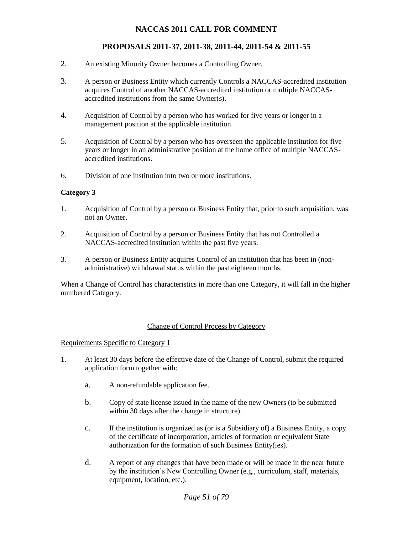# **PROPOSALS 2011-37, 2011-38, 2011-44, 2011-54 & 2011-55**

- 2. An existing Minority Owner becomes a Controlling Owner.
- 3. A person or Business Entity which currently Controls a NACCAS-accredited institution acquires Control of another NACCAS-accredited institution or multiple NACCASaccredited institutions from the same Owner(s).
- 4. Acquisition of Control by a person who has worked for five years or longer in a management position at the applicable institution.
- 5. Acquisition of Control by a person who has overseen the applicable institution for five years or longer in an administrative position at the home office of multiple NACCASaccredited institutions.
- 6. Division of one institution into two or more institutions.

#### **Category 3**

- 1. Acquisition of Control by a person or Business Entity that, prior to such acquisition, was not an Owner.
- 2. Acquisition of Control by a person or Business Entity that has not Controlled a NACCAS-accredited institution within the past five years.
- 3. A person or Business Entity acquires Control of an institution that has been in (nonadministrative) withdrawal status within the past eighteen months.

When a Change of Control has characteristics in more than one Category, it will fall in the higher numbered Category.

#### Change of Control Process by Category

Requirements Specific to Category 1

- 1. At least 30 days before the effective date of the Change of Control, submit the required application form together with:
	- a. A non-refundable application fee.
	- b. Copy of state license issued in the name of the new Owners (to be submitted within 30 days after the change in structure).
	- c. If the institution is organized as (or is a Subsidiary of) a Business Entity, a copy of the certificate of incorporation, articles of formation or equivalent State authorization for the formation of such Business Entity(ies).
	- d. A report of any changes that have been made or will be made in the near future by the institution's New Controlling Owner (e.g., curriculum, staff, materials, equipment, location, etc.).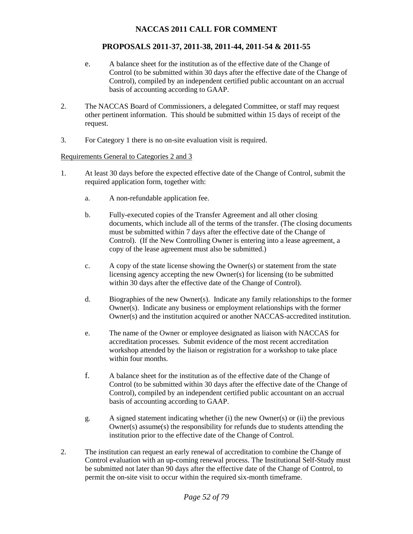### **PROPOSALS 2011-37, 2011-38, 2011-44, 2011-54 & 2011-55**

- e. A balance sheet for the institution as of the effective date of the Change of Control (to be submitted within 30 days after the effective date of the Change of Control), compiled by an independent certified public accountant on an accrual basis of accounting according to GAAP.
- 2. The NACCAS Board of Commissioners, a delegated Committee, or staff may request other pertinent information. This should be submitted within 15 days of receipt of the request.
- 3. For Category 1 there is no on-site evaluation visit is required.

#### Requirements General to Categories 2 and 3

- 1. At least 30 days before the expected effective date of the Change of Control, submit the required application form, together with:
	- a. A non-refundable application fee.
	- b. Fully-executed copies of the Transfer Agreement and all other closing documents, which include all of the terms of the transfer. (The closing documents must be submitted within 7 days after the effective date of the Change of Control). (If the New Controlling Owner is entering into a lease agreement, a copy of the lease agreement must also be submitted.)
	- c. A copy of the state license showing the Owner(s) or statement from the state licensing agency accepting the new Owner(s) for licensing (to be submitted within 30 days after the effective date of the Change of Control).
	- d. Biographies of the new Owner(s). Indicate any family relationships to the former Owner(s). Indicate any business or employment relationships with the former Owner(s) and the institution acquired or another NACCAS-accredited institution.
	- e. The name of the Owner or employee designated as liaison with NACCAS for accreditation processes. Submit evidence of the most recent accreditation workshop attended by the liaison or registration for a workshop to take place within four months.
	- f. A balance sheet for the institution as of the effective date of the Change of Control (to be submitted within 30 days after the effective date of the Change of Control), compiled by an independent certified public accountant on an accrual basis of accounting according to GAAP.
	- g. A signed statement indicating whether (i) the new Owner(s) or (ii) the previous Owner(s) assume(s) the responsibility for refunds due to students attending the institution prior to the effective date of the Change of Control.
- 2. The institution can request an early renewal of accreditation to combine the Change of Control evaluation with an up-coming renewal process. The Institutional Self-Study must be submitted not later than 90 days after the effective date of the Change of Control, to permit the on-site visit to occur within the required six-month timeframe.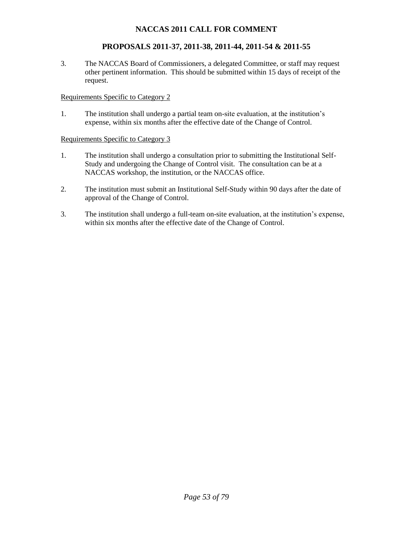# **PROPOSALS 2011-37, 2011-38, 2011-44, 2011-54 & 2011-55**

3. The NACCAS Board of Commissioners, a delegated Committee, or staff may request other pertinent information. This should be submitted within 15 days of receipt of the request.

#### Requirements Specific to Category 2

1. The institution shall undergo a partial team on-site evaluation, at the institution's expense, within six months after the effective date of the Change of Control.

#### Requirements Specific to Category 3

- 1. The institution shall undergo a consultation prior to submitting the Institutional Self-Study and undergoing the Change of Control visit. The consultation can be at a NACCAS workshop, the institution, or the NACCAS office.
- 2. The institution must submit an Institutional Self-Study within 90 days after the date of approval of the Change of Control.
- 3. The institution shall undergo a full-team on-site evaluation, at the institution's expense, within six months after the effective date of the Change of Control.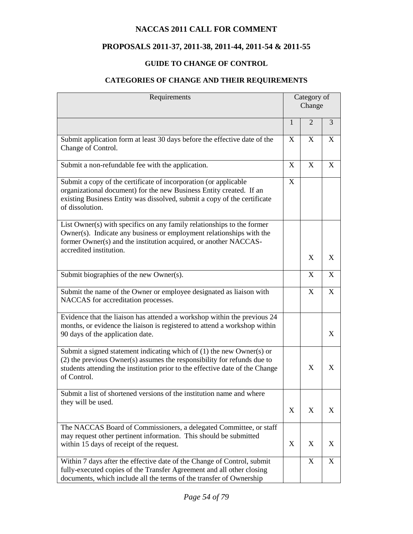# **PROPOSALS 2011-37, 2011-38, 2011-44, 2011-54 & 2011-55**

# **GUIDE TO CHANGE OF CONTROL**

# **CATEGORIES OF CHANGE AND THEIR REQUIREMENTS**

| Requirements                                                                                                                                                                                                                                         | Category of<br>Change |                           |   |
|------------------------------------------------------------------------------------------------------------------------------------------------------------------------------------------------------------------------------------------------------|-----------------------|---------------------------|---|
|                                                                                                                                                                                                                                                      | $\mathbf{1}$          | 2                         | 3 |
| Submit application form at least 30 days before the effective date of the<br>Change of Control.                                                                                                                                                      | X                     | X                         | X |
| Submit a non-refundable fee with the application.                                                                                                                                                                                                    | X                     | X                         | X |
| Submit a copy of the certificate of incorporation (or applicable<br>organizational document) for the new Business Entity created. If an<br>existing Business Entity was dissolved, submit a copy of the certificate<br>of dissolution.               | X                     |                           |   |
| List Owner(s) with specifics on any family relationships to the former<br>Owner(s). Indicate any business or employment relationships with the<br>former Owner(s) and the institution acquired, or another NACCAS-<br>accredited institution.        |                       | $\boldsymbol{\mathrm{X}}$ | X |
| Submit biographies of the new Owner(s).                                                                                                                                                                                                              |                       | X                         | X |
| Submit the name of the Owner or employee designated as liaison with                                                                                                                                                                                  |                       | X                         | X |
| NACCAS for accreditation processes.                                                                                                                                                                                                                  |                       |                           |   |
| Evidence that the liaison has attended a workshop within the previous 24<br>months, or evidence the liaison is registered to attend a workshop within<br>90 days of the application date.                                                            |                       |                           | X |
| Submit a signed statement indicating which of (1) the new Owner(s) or<br>$(2)$ the previous Owner $(s)$ assumes the responsibility for refunds due to<br>students attending the institution prior to the effective date of the Change<br>of Control. |                       | X                         | X |
| Submit a list of shortened versions of the institution name and where<br>they will be used.                                                                                                                                                          | X                     | X                         | X |
| The NACCAS Board of Commissioners, a delegated Committee, or staff<br>may request other pertinent information. This should be submitted<br>within 15 days of receipt of the request.                                                                 | X                     | X                         | X |
| Within 7 days after the effective date of the Change of Control, submit<br>fully-executed copies of the Transfer Agreement and all other closing<br>documents, which include all the terms of the transfer of Ownership                              |                       | X                         | X |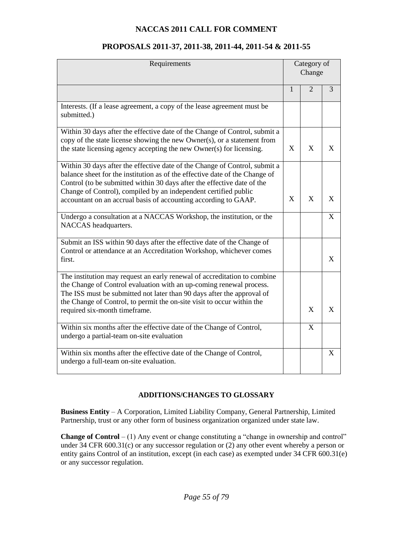| Requirements                                                                                                                                                                                                                                                                                                                                                               | Category of<br>Change |                |              |
|----------------------------------------------------------------------------------------------------------------------------------------------------------------------------------------------------------------------------------------------------------------------------------------------------------------------------------------------------------------------------|-----------------------|----------------|--------------|
|                                                                                                                                                                                                                                                                                                                                                                            | 1                     | $\overline{2}$ | 3            |
| Interests. (If a lease agreement, a copy of the lease agreement must be<br>submitted.)                                                                                                                                                                                                                                                                                     |                       |                |              |
| Within 30 days after the effective date of the Change of Control, submit a<br>copy of the state license showing the new Owner(s), or a statement from<br>the state licensing agency accepting the new Owner(s) for licensing.                                                                                                                                              | X                     | X              | X            |
| Within 30 days after the effective date of the Change of Control, submit a<br>balance sheet for the institution as of the effective date of the Change of<br>Control (to be submitted within 30 days after the effective date of the<br>Change of Control), compiled by an independent certified public<br>accountant on an accrual basis of accounting according to GAAP. | X                     | X              | X            |
| Undergo a consultation at a NACCAS Workshop, the institution, or the<br>NACCAS headquarters.                                                                                                                                                                                                                                                                               |                       |                | $\mathbf{X}$ |
| Submit an ISS within 90 days after the effective date of the Change of<br>Control or attendance at an Accreditation Workshop, whichever comes<br>first.                                                                                                                                                                                                                    |                       |                | X            |
| The institution may request an early renewal of accreditation to combine<br>the Change of Control evaluation with an up-coming renewal process.<br>The ISS must be submitted not later than 90 days after the approval of<br>the Change of Control, to permit the on-site visit to occur within the<br>required six-month timeframe.                                       |                       | $\mathbf{X}$   | $\mathbf{X}$ |
| Within six months after the effective date of the Change of Control,<br>undergo a partial-team on-site evaluation                                                                                                                                                                                                                                                          |                       | $\overline{X}$ |              |
| Within six months after the effective date of the Change of Control,<br>undergo a full-team on-site evaluation.                                                                                                                                                                                                                                                            |                       |                | X            |

# **PROPOSALS 2011-37, 2011-38, 2011-44, 2011-54 & 2011-55**

### **ADDITIONS/CHANGES TO GLOSSARY**

**Business Entity** – A Corporation, Limited Liability Company, General Partnership, Limited Partnership, trust or any other form of business organization organized under state law.

**Change of Control** – (1) Any event or change constituting a "change in ownership and control" under 34 CFR 600.31(c) or any successor regulation or (2) any other event whereby a person or entity gains Control of an institution, except (in each case) as exempted under 34 CFR 600.31(e) or any successor regulation.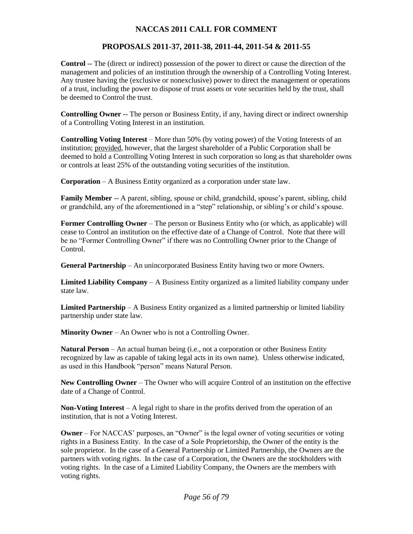# **PROPOSALS 2011-37, 2011-38, 2011-44, 2011-54 & 2011-55**

**Control** -- The (direct or indirect) possession of the power to direct or cause the direction of the management and policies of an institution through the ownership of a Controlling Voting Interest. Any trustee having the (exclusive or nonexclusive) power to direct the management or operations of a trust, including the power to dispose of trust assets or vote securities held by the trust, shall be deemed to Control the trust.

**Controlling Owner** -- The person or Business Entity, if any, having direct or indirect ownership of a Controlling Voting Interest in an institution.

**Controlling Voting Interest** – More than 50% (by voting power) of the Voting Interests of an institution; provided, however, that the largest shareholder of a Public Corporation shall be deemed to hold a Controlling Voting Interest in such corporation so long as that shareholder owns or controls at least 25% of the outstanding voting securities of the institution.

**Corporation** – A Business Entity organized as a corporation under state law.

**Family Member** -- A parent, sibling, spouse or child, grandchild, spouse's parent, sibling, child or grandchild, any of the aforementioned in a "step" relationship, or sibling's or child's spouse.

**Former Controlling Owner** – The person or Business Entity who (or which, as applicable) will cease to Control an institution on the effective date of a Change of Control. Note that there will be no "Former Controlling Owner" if there was no Controlling Owner prior to the Change of Control.

**General Partnership** – An unincorporated Business Entity having two or more Owners.

**Limited Liability Company** – A Business Entity organized as a limited liability company under state law.

**Limited Partnership** – A Business Entity organized as a limited partnership or limited liability partnership under state law.

**Minority Owner** – An Owner who is not a Controlling Owner.

**Natural Person** – An actual human being (i.e., not a corporation or other Business Entity recognized by law as capable of taking legal acts in its own name). Unless otherwise indicated, as used in this Handbook "person" means Natural Person.

**New Controlling Owner** – The Owner who will acquire Control of an institution on the effective date of a Change of Control.

**Non-Voting Interest** – A legal right to share in the profits derived from the operation of an institution, that is not a Voting Interest.

**Owner** – For NACCAS' purposes, an "Owner" is the legal owner of voting securities or voting rights in a Business Entity. In the case of a Sole Proprietorship, the Owner of the entity is the sole proprietor. In the case of a General Partnership or Limited Partnership, the Owners are the partners with voting rights. In the case of a Corporation, the Owners are the stockholders with voting rights. In the case of a Limited Liability Company, the Owners are the members with voting rights.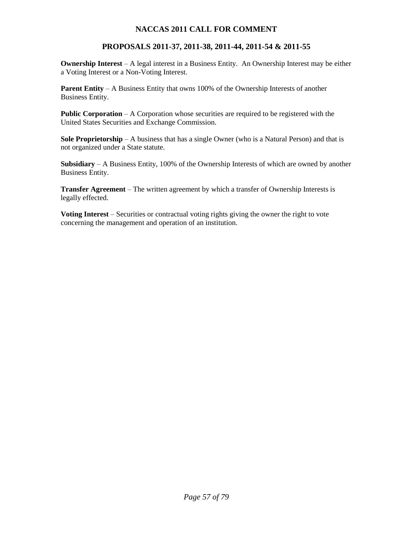# **PROPOSALS 2011-37, 2011-38, 2011-44, 2011-54 & 2011-55**

**Ownership Interest** – A legal interest in a Business Entity. An Ownership Interest may be either a Voting Interest or a Non-Voting Interest.

**Parent Entity** – A Business Entity that owns 100% of the Ownership Interests of another Business Entity.

**Public Corporation** – A Corporation whose securities are required to be registered with the United States Securities and Exchange Commission.

**Sole Proprietorship** – A business that has a single Owner (who is a Natural Person) and that is not organized under a State statute.

**Subsidiary** – A Business Entity, 100% of the Ownership Interests of which are owned by another Business Entity.

**Transfer Agreement** – The written agreement by which a transfer of Ownership Interests is legally effected.

**Voting Interest** – Securities or contractual voting rights giving the owner the right to vote concerning the management and operation of an institution.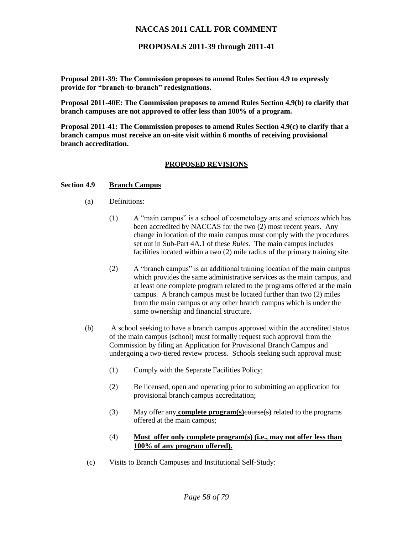#### **PROPOSALS 2011-39 through 2011-41**

**Proposal 2011-39: The Commission proposes to amend Rules Section 4.9 to expressly provide for "branch-to-branch" redesignations.** 

**Proposal 2011-40E: The Commission proposes to amend Rules Section 4.9(b) to clarify that branch campuses are not approved to offer less than 100% of a program.** 

**Proposal 2011-41: The Commission proposes to amend Rules Section 4.9(c) to clarify that a branch campus must receive an on-site visit within 6 months of receiving provisional branch accreditation.** 

#### **PROPOSED REVISIONS**

#### **Section 4.9 Branch Campus**

- (a) Definitions:
	- (1) A "main campus" is a school of cosmetology arts and sciences which has been accredited by NACCAS for the two (2) most recent years. Any change in location of the main campus must comply with the procedures set out in Sub-Part 4A.1 of these *Rules.* The main campus includes facilities located within a two (2) mile radius of the primary training site.
	- (2) A "branch campus" is an additional training location of the main campus which provides the same administrative services as the main campus, and at least one complete program related to the programs offered at the main campus. A branch campus must be located further than two (2) miles from the main campus or any other branch campus which is under the same ownership and financial structure.
- (b) A school seeking to have a branch campus approved within the accredited status of the main campus (school) must formally request such approval from the Commission by filing an Application for Provisional Branch Campus and undergoing a two-tiered review process. Schools seeking such approval must:
	- (1) Comply with the Separate Facilities Policy;
	- (2) Be licensed, open and operating prior to submitting an application for provisional branch campus accreditation;
	- (3) May offer any **complete program(s)**course(s) related to the programs offered at the main campus;
	- (4) **Must offer only complete program(s) (i.e., may not offer less than 100% of any program offered).**
- (c) Visits to Branch Campuses and Institutional Self-Study: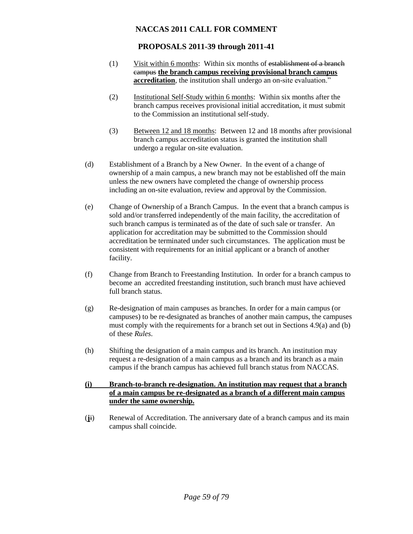### **PROPOSALS 2011-39 through 2011-41**

- (1) Visit within 6 months: Within six months of establishment of a branch campus **the branch campus receiving provisional branch campus accreditation**, the institution shall undergo an on-site evaluation."
- (2) Institutional Self-Study within 6 months: Within six months after the branch campus receives provisional initial accreditation, it must submit to the Commission an institutional self-study.
- (3) Between 12 and 18 months: Between 12 and 18 months after provisional branch campus accreditation status is granted the institution shall undergo a regular on-site evaluation.
- (d) Establishment of a Branch by a New Owner. In the event of a change of ownership of a main campus, a new branch may not be established off the main unless the new owners have completed the change of ownership process including an on-site evaluation, review and approval by the Commission.
- (e) Change of Ownership of a Branch Campus. In the event that a branch campus is sold and/or transferred independently of the main facility, the accreditation of such branch campus is terminated as of the date of such sale or transfer. An application for accreditation may be submitted to the Commission should accreditation be terminated under such circumstances. The application must be consistent with requirements for an initial applicant or a branch of another facility.
- (f) Change from Branch to Freestanding Institution. In order for a branch campus to become an accredited freestanding institution, such branch must have achieved full branch status.
- (g) Re-designation of main campuses as branches. In order for a main campus (or campuses) to be re-designated as branches of another main campus, the campuses must comply with the requirements for a branch set out in Sections 4.9(a) and (b) of these *Rules*.
- (h) Shifting the designation of a main campus and its branch. An institution may request a re-designation of a main campus as a branch and its branch as a main campus if the branch campus has achieved full branch status from NACCAS.
- **(i) Branch-to-branch re-designation. An institution may request that a branch of a main campus be re-designated as a branch of a different main campus under the same ownership.**
- (**j**i) Renewal of Accreditation. The anniversary date of a branch campus and its main campus shall coincide.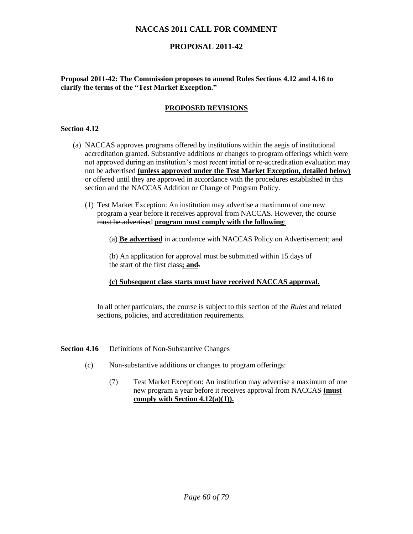### **PROPOSAL 2011-42**

**Proposal 2011-42: The Commission proposes to amend Rules Sections 4.12 and 4.16 to clarify the terms of the "Test Market Exception."**

#### **PROPOSED REVISIONS**

#### **Section 4.12**

- (a) NACCAS approves programs offered by institutions within the aegis of institutional accreditation granted. Substantive additions or changes to program offerings which were not approved during an institution's most recent initial or re-accreditation evaluation may not be advertised **(unless approved under the Test Market Exception, detailed below)** or offered until they are approved in accordance with the procedures established in this section and the NACCAS Addition or Change of Program Policy.
	- (1) Test Market Exception: An institution may advertise a maximum of one new program a year before it receives approval from NACCAS. However, the course must be advertised **program must comply with the following**:
		- (a) **Be advertised** in accordance with NACCAS Policy on Advertisement; and

(b) An application for approval must be submitted within 15 days of the start of the first class**; and**.

#### **(c) Subsequent class starts must have received NACCAS approval.**

In all other particulars, the course is subject to this section of the *Rules* and related sections, policies, and accreditation requirements.

- **Section 4.16** Definitions of Non-Substantive Changes
	- (c) Non-substantive additions or changes to program offerings:
		- (7) Test Market Exception: An institution may advertise a maximum of one new program a year before it receives approval from NACCAS **(must comply with Section 4.12(a)(1)).**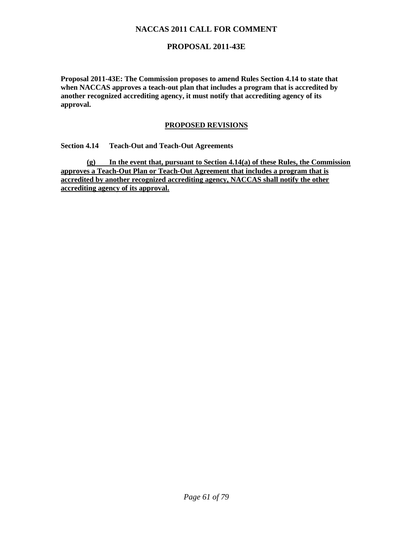### **PROPOSAL 2011-43E**

**Proposal 2011-43E: The Commission proposes to amend Rules Section 4.14 to state that when NACCAS approves a teach-out plan that includes a program that is accredited by another recognized accrediting agency, it must notify that accrediting agency of its approval.** 

#### **PROPOSED REVISIONS**

**Section 4.14 Teach-Out and Teach-Out Agreements**

**(g) In the event that, pursuant to Section 4.14(a) of these Rules, the Commission approves a Teach-Out Plan or Teach-Out Agreement that includes a program that is accredited by another recognized accrediting agency, NACCAS shall notify the other accrediting agency of its approval.**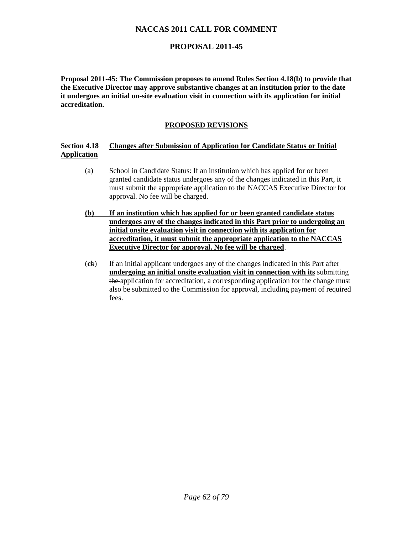# **PROPOSAL 2011-45**

**Proposal 2011-45: The Commission proposes to amend Rules Section 4.18(b) to provide that the Executive Director may approve substantive changes at an institution prior to the date it undergoes an initial on-site evaluation visit in connection with its application for initial accreditation.** 

### **PROPOSED REVISIONS**

#### **Section 4.18 Changes after Submission of Application for Candidate Status or Initial Application**

- (a) School in Candidate Status: If an institution which has applied for or been granted candidate status undergoes any of the changes indicated in this Part, it must submit the appropriate application to the NACCAS Executive Director for approval. No fee will be charged.
- **(b) If an institution which has applied for or been granted candidate status undergoes any of the changes indicated in this Part prior to undergoing an initial onsite evaluation visit in connection with its application for accreditation, it must submit the appropriate application to the NACCAS Executive Director for approval. No fee will be charged**.
- (**c**b) If an initial applicant undergoes any of the changes indicated in this Part after **undergoing an initial onsite evaluation visit in connection with its** submitting the application for accreditation, a corresponding application for the change must also be submitted to the Commission for approval, including payment of required fees.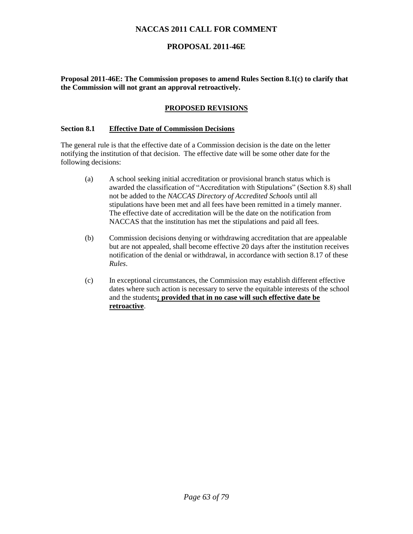### **PROPOSAL 2011-46E**

**Proposal 2011-46E: The Commission proposes to amend Rules Section 8.1(c) to clarify that the Commission will not grant an approval retroactively.**

#### **PROPOSED REVISIONS**

#### **Section 8.1 Effective Date of Commission Decisions**

The general rule is that the effective date of a Commission decision is the date on the letter notifying the institution of that decision. The effective date will be some other date for the following decisions:

- (a) A school seeking initial accreditation or provisional branch status which is awarded the classification of "Accreditation with Stipulations" (Section 8.8) shall not be added to the *NACCAS Directory of Accredited Schools* until all stipulations have been met and all fees have been remitted in a timely manner. The effective date of accreditation will be the date on the notification from NACCAS that the institution has met the stipulations and paid all fees.
- (b) Commission decisions denying or withdrawing accreditation that are appealable but are not appealed, shall become effective 20 days after the institution receives notification of the denial or withdrawal, in accordance with section 8.17 of these *Rules*.
- (c) In exceptional circumstances, the Commission may establish different effective dates where such action is necessary to serve the equitable interests of the school and the students**; provided that in no case will such effective date be retroactive**.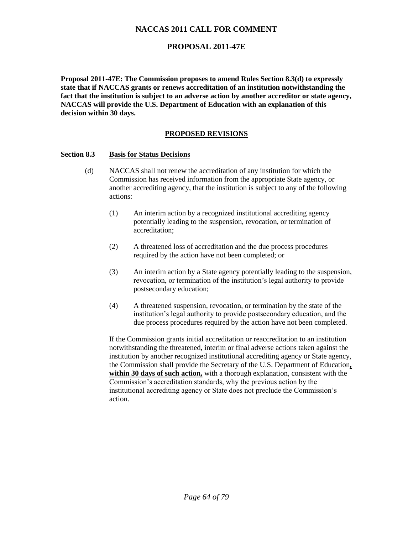### **PROPOSAL 2011-47E**

**Proposal 2011-47E: The Commission proposes to amend Rules Section 8.3(d) to expressly state that if NACCAS grants or renews accreditation of an institution notwithstanding the fact that the institution is subject to an adverse action by another accreditor or state agency, NACCAS will provide the U.S. Department of Education with an explanation of this decision within 30 days.** 

#### **PROPOSED REVISIONS**

#### **Section 8.3 Basis for Status Decisions**

- (d) NACCAS shall not renew the accreditation of any institution for which the Commission has received information from the appropriate State agency, or another accrediting agency, that the institution is subject to any of the following actions:
	- (1) An interim action by a recognized institutional accrediting agency potentially leading to the suspension, revocation, or termination of accreditation;
	- (2) A threatened loss of accreditation and the due process procedures required by the action have not been completed; or
	- (3) An interim action by a State agency potentially leading to the suspension, revocation, or termination of the institution's legal authority to provide postsecondary education;
	- (4) A threatened suspension, revocation, or termination by the state of the institution's legal authority to provide postsecondary education, and the due process procedures required by the action have not been completed.

If the Commission grants initial accreditation or reaccreditation to an institution notwithstanding the threatened, interim or final adverse actions taken against the institution by another recognized institutional accrediting agency or State agency, the Commission shall provide the Secretary of the U.S. Department of Education**, within 30 days of such action,** with a thorough explanation, consistent with the Commission's accreditation standards, why the previous action by the institutional accrediting agency or State does not preclude the Commission's action.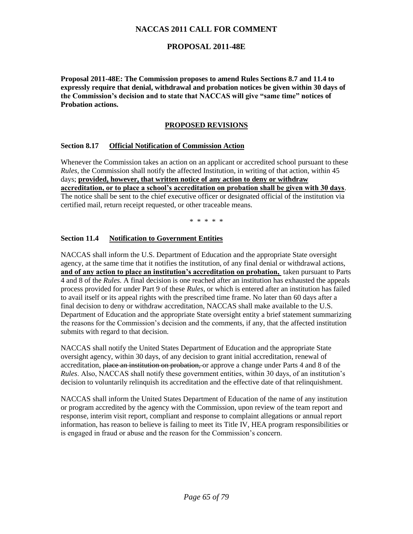### **PROPOSAL 2011-48E**

**Proposal 2011-48E: The Commission proposes to amend Rules Sections 8.7 and 11.4 to expressly require that denial, withdrawal and probation notices be given within 30 days of the Commission's decision and to state that NACCAS will give "same time" notices of Probation actions.** 

#### **PROPOSED REVISIONS**

#### **Section 8.17 Official Notification of Commission Action**

Whenever the Commission takes an action on an applicant or accredited school pursuant to these *Rules*, the Commission shall notify the affected Institution, in writing of that action, within 45 days; **provided, however, that written notice of any action to deny or withdraw accreditation, or to place a school's accreditation on probation shall be given with 30 days**. The notice shall be sent to the chief executive officer or designated official of the institution via certified mail, return receipt requested, or other traceable means.

\* \* \* \* \*

#### **Section 11.4 Notification to Government Entities**

NACCAS shall inform the U.S. Department of Education and the appropriate State oversight agency, at the same time that it notifies the institution, of any final denial or withdrawal actions, **and of any action to place an institution's accreditation on probation,** taken pursuant to Parts 4 and 8 of the *Rules.* A final decision is one reached after an institution has exhausted the appeals process provided for under Part 9 of these *Rules*, or which is entered after an institution has failed to avail itself or its appeal rights with the prescribed time frame. No later than 60 days after a final decision to deny or withdraw accreditation, NACCAS shall make available to the U.S. Department of Education and the appropriate State oversight entity a brief statement summarizing the reasons for the Commission's decision and the comments, if any, that the affected institution submits with regard to that decision.

NACCAS shall notify the United States Department of Education and the appropriate State oversight agency, within 30 days, of any decision to grant initial accreditation, renewal of accreditation, place an institution on probation, or approve a change under Parts 4 and 8 of the *Rules*. Also, NACCAS shall notify these government entities, within 30 days, of an institution's decision to voluntarily relinquish its accreditation and the effective date of that relinquishment.

NACCAS shall inform the United States Department of Education of the name of any institution or program accredited by the agency with the Commission, upon review of the team report and response, interim visit report, compliant and response to complaint allegations or annual report information, has reason to believe is failing to meet its Title IV, HEA program responsibilities or is engaged in fraud or abuse and the reason for the Commission's concern.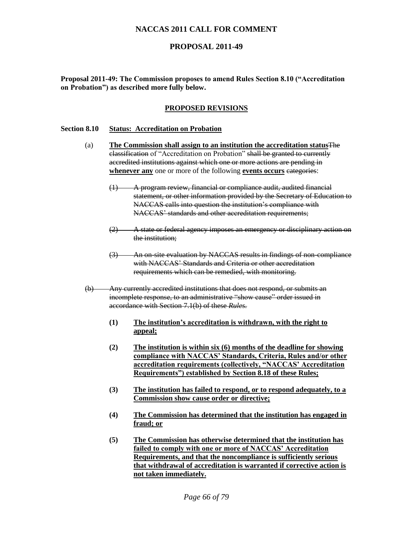### **PROPOSAL 2011-49**

**Proposal 2011-49: The Commission proposes to amend Rules Section 8.10 ("Accreditation on Probation") as described more fully below.** 

#### **PROPOSED REVISIONS**

#### **Section 8.10 Status: Accreditation on Probation**

- (a) **The Commission shall assign to an institution the accreditation status**The classification of "Accreditation on Probation" shall be granted to currently accredited institutions against which one or more actions are pending in **whenever any** one or more of the following **events** occurs eategories:
	- (1) A program review, financial or compliance audit, audited financial statement, or other information provided by the Secretary of Education to NACCAS calls into question the institution's compliance with NACCAS' standards and other accreditation requirements;
	- (2) A state or federal agency imposes an emergency or disciplinary action on the institution;
	- (3) An on-site evaluation by NACCAS results in findings of non-compliance with NACCAS' Standards and Criteria or other accreditation requirements which can be remedied, with monitoring.
- (b) Any currently accredited institutions that does not respond, or submits an incomplete response, to an administrative "show cause" order issued in accordance with Section 7.1(b) of these *Rules.* 
	- **(1) The institution's accreditation is withdrawn, with the right to appeal;**
	- **(2) The institution is within six (6) months of the deadline for showing compliance with NACCAS' Standards, Criteria, Rules and/or other accreditation requirements (collectively, "NACCAS' Accreditation Requirements") established by Section 8.18 of these Rules;**
	- **(3) The institution has failed to respond, or to respond adequately, to a Commission show cause order or directive;**
	- **(4) The Commission has determined that the institution has engaged in fraud; or**
	- **(5) The Commission has otherwise determined that the institution has failed to comply with one or more of NACCAS' Accreditation Requirements, and that the noncompliance is sufficiently serious that withdrawal of accreditation is warranted if corrective action is not taken immediately.**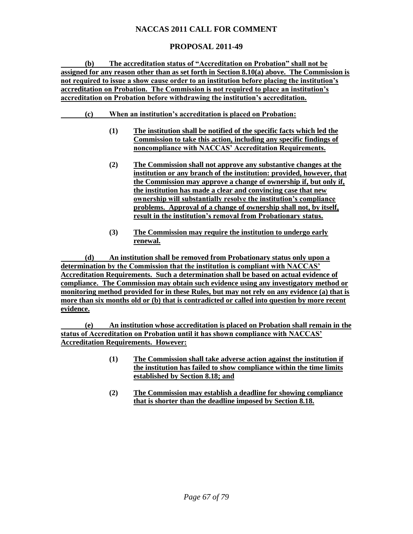# **PROPOSAL 2011-49**

**(b) The accreditation status of "Accreditation on Probation" shall not be assigned for any reason other than as set forth in Section 8.10(a) above. The Commission is not required to issue a show cause order to an institution before placing the institution's accreditation on Probation. The Commission is not required to place an institution's accreditation on Probation before withdrawing the institution's accreditation.**

- **(c) When an institution's accreditation is placed on Probation:**
	- **(1) The institution shall be notified of the specific facts which led the Commission to take this action, including any specific findings of noncompliance with NACCAS' Accreditation Requirements.**
	- **(2) The Commission shall not approve any substantive changes at the institution or any branch of the institution: provided, however, that the Commission may approve a change of ownership if, but only if, the institution has made a clear and convincing case that new ownership will substantially resolve the institution's compliance problems. Approval of a change of ownership shall not, by itself, result in the institution's removal from Probationary status.**
	- **(3) The Commission may require the institution to undergo early renewal.**

**(d) An institution shall be removed from Probationary status only upon a determination by the Commission that the institution is compliant with NACCAS' Accreditation Requirements. Such a determination shall be based on actual evidence of compliance. The Commission may obtain such evidence using any investigatory method or monitoring method provided for in these Rules, but may not rely on any evidence (a) that is more than six months old or (b) that is contradicted or called into question by more recent evidence.**

**(e) An institution whose accreditation is placed on Probation shall remain in the status of Accreditation on Probation until it has shown compliance with NACCAS' Accreditation Requirements. However:**

- **(1) The Commission shall take adverse action against the institution if the institution has failed to show compliance within the time limits established by Section 8.18; and**
- **(2) The Commission may establish a deadline for showing compliance that is shorter than the deadline imposed by Section 8.18.**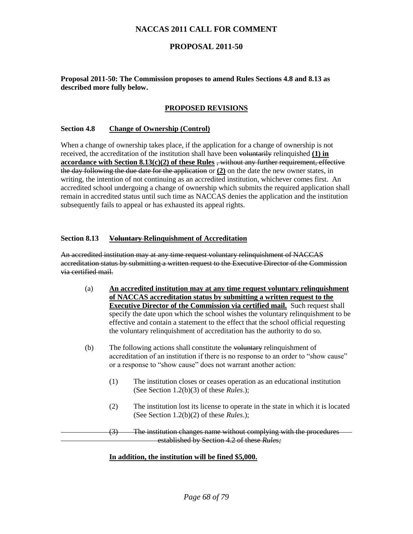### **PROPOSAL 2011-50**

#### **Proposal 2011-50: The Commission proposes to amend Rules Sections 4.8 and 8.13 as described more fully below.**

#### **PROPOSED REVISIONS**

#### **Section 4.8 Change of Ownership (Control)**

When a change of ownership takes place, if the application for a change of ownership is not received, the accreditation of the institution shall have been voluntarily relinquished **(1) in accordance with Section 8.13(c)(2) of these Rules** , without any further requirement, effective the day following the due date for the application or **(2)** on the date the new owner states, in writing, the intention of not continuing as an accredited institution, whichever comes first. An accredited school undergoing a change of ownership which submits the required application shall remain in accredited status until such time as NACCAS denies the application and the institution subsequently fails to appeal or has exhausted its appeal rights.

#### **Section 8.13 Voluntary Relinquishment of Accreditation**

An accredited institution may at any time request voluntary relinquishment of NACCAS accreditation status by submitting a written request to the Executive Director of the Commission via certified mail.

- (a) **An accredited institution may at any time request voluntary relinquishment of NACCAS accreditation status by submitting a written request to the Executive Director of the Commission via certified mail.** Such request shall specify the date upon which the school wishes the voluntary relinquishment to be effective and contain a statement to the effect that the school official requesting the voluntary relinquishment of accreditation has the authority to do so.
- (b) The following actions shall constitute the voluntary relinquishment of accreditation of an institution if there is no response to an order to "show cause" or a response to "show cause" does not warrant another action:
	- (1) The institution closes or ceases operation as an educational institution (See Section 1.2(b)(3) of these *Rules*.);
	- (2) The institution lost its license to operate in the state in which it is located (See Section 1.2(b)(2) of these *Rules*.);

(3) The institution changes name without complying with the procedures established by Section 4.2 of these *Rules;*

#### **In addition, the institution will be fined \$5,000.**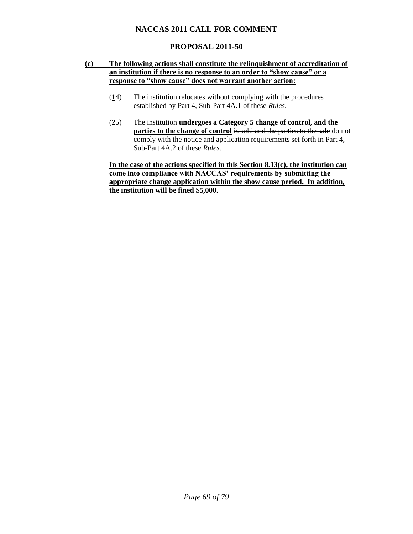# **PROPOSAL 2011-50**

#### **(c) The following actions shall constitute the relinquishment of accreditation of an institution if there is no response to an order to "show cause" or a response to "show cause" does not warrant another action:**

- (**1**4) The institution relocates without complying with the procedures established by Part 4, Sub-Part 4A.1 of these *Rules*.
- (**2**5) The institution **undergoes a Category 5 change of control, and the parties to the change of control is sold and the parties to the sale** do not comply with the notice and application requirements set forth in Part 4, Sub-Part 4A.2 of these *Rules*.

**In the case of the actions specified in this Section 8.13(c), the institution can come into compliance with NACCAS' requirements by submitting the appropriate change application within the show cause period. In addition, the institution will be fined \$5,000.**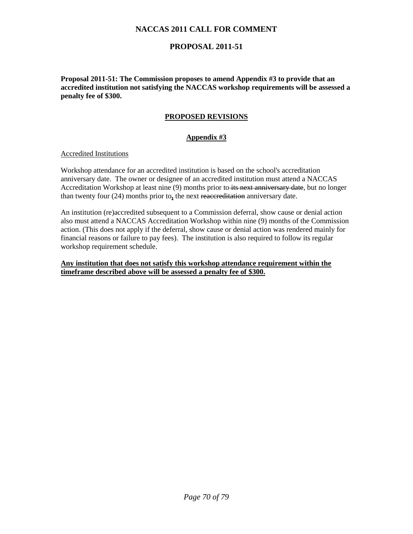# **PROPOSAL 2011-51**

**Proposal 2011-51: The Commission proposes to amend Appendix #3 to provide that an accredited institution not satisfying the NACCAS workshop requirements will be assessed a penalty fee of \$300.** 

### **PROPOSED REVISIONS**

### **Appendix #3**

#### Accredited Institutions

Workshop attendance for an accredited institution is based on the school's accreditation anniversary date. The owner or designee of an accredited institution must attend a NACCAS Accreditation Workshop at least nine (9) months prior to its next anniversary date, but no longer than twenty four (24) months prior to**,** the next reaccreditation anniversary date.

An institution (re)accredited subsequent to a Commission deferral, show cause or denial action also must attend a NACCAS Accreditation Workshop within nine (9) months of the Commission action. (This does not apply if the deferral, show cause or denial action was rendered mainly for financial reasons or failure to pay fees). The institution is also required to follow its regular workshop requirement schedule.

#### **Any institution that does not satisfy this workshop attendance requirement within the timeframe described above will be assessed a penalty fee of \$300.**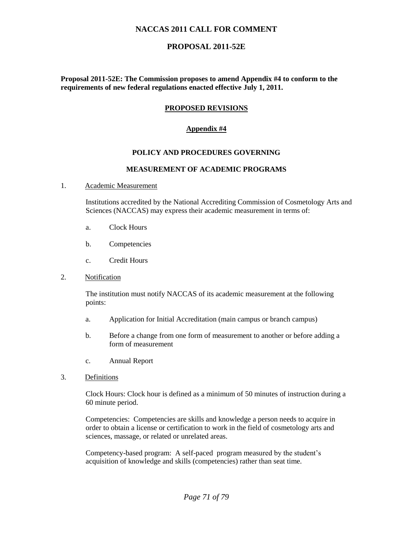### **PROPOSAL 2011-52E**

**Proposal 2011-52E: The Commission proposes to amend Appendix #4 to conform to the requirements of new federal regulations enacted effective July 1, 2011.**

#### **PROPOSED REVISIONS**

#### **Appendix #4**

#### **POLICY AND PROCEDURES GOVERNING**

#### **MEASUREMENT OF ACADEMIC PROGRAMS**

#### 1. Academic Measurement

Institutions accredited by the National Accrediting Commission of Cosmetology Arts and Sciences (NACCAS) may express their academic measurement in terms of:

- a. Clock Hours
- b. Competencies
- c. Credit Hours
- 2. Notification

The institution must notify NACCAS of its academic measurement at the following points:

- a. Application for Initial Accreditation (main campus or branch campus)
- b. Before a change from one form of measurement to another or before adding a form of measurement
- c. Annual Report
- 3. Definitions

Clock Hours: Clock hour is defined as a minimum of 50 minutes of instruction during a 60 minute period.

Competencies: Competencies are skills and knowledge a person needs to acquire in order to obtain a license or certification to work in the field of cosmetology arts and sciences, massage, or related or unrelated areas.

Competency-based program: A self-paced program measured by the student's acquisition of knowledge and skills (competencies) rather than seat time.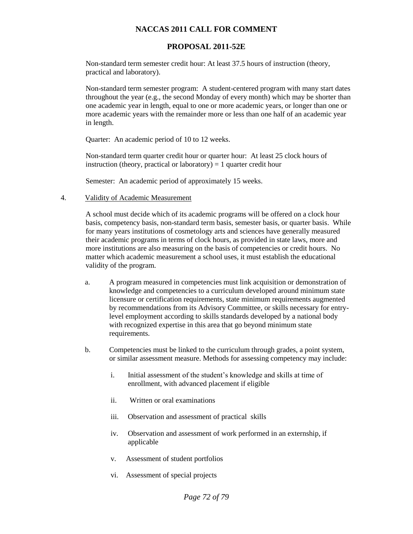## **PROPOSAL 2011-52E**

Non-standard term semester credit hour: At least 37.5 hours of instruction (theory, practical and laboratory).

Non-standard term semester program: A student-centered program with many start dates throughout the year (e.g., the second Monday of every month) which may be shorter than one academic year in length, equal to one or more academic years, or longer than one or more academic years with the remainder more or less than one half of an academic year in length.

Quarter: An academic period of 10 to 12 weeks.

Non-standard term quarter credit hour or quarter hour: At least 25 clock hours of instruction (theory, practical or laboratory)  $= 1$  quarter credit hour

Semester: An academic period of approximately 15 weeks.

#### 4. Validity of Academic Measurement

A school must decide which of its academic programs will be offered on a clock hour basis, competency basis, non-standard term basis, semester basis, or quarter basis. While for many years institutions of cosmetology arts and sciences have generally measured their academic programs in terms of clock hours, as provided in state laws, more and more institutions are also measuring on the basis of competencies or credit hours. No matter which academic measurement a school uses, it must establish the educational validity of the program.

- a. A program measured in competencies must link acquisition or demonstration of knowledge and competencies to a curriculum developed around minimum state licensure or certification requirements, state minimum requirements augmented by recommendations from its Advisory Committee, or skills necessary for entrylevel employment according to skills standards developed by a national body with recognized expertise in this area that go beyond minimum state requirements.
- b. Competencies must be linked to the curriculum through grades, a point system, or similar assessment measure. Methods for assessing competency may include:
	- i. Initial assessment of the student's knowledge and skills at time of enrollment, with advanced placement if eligible
	- ii. Written or oral examinations
	- iii. Observation and assessment of practical skills
	- iv. Observation and assessment of work performed in an externship, if applicable
	- v. Assessment of student portfolios
	- vi. Assessment of special projects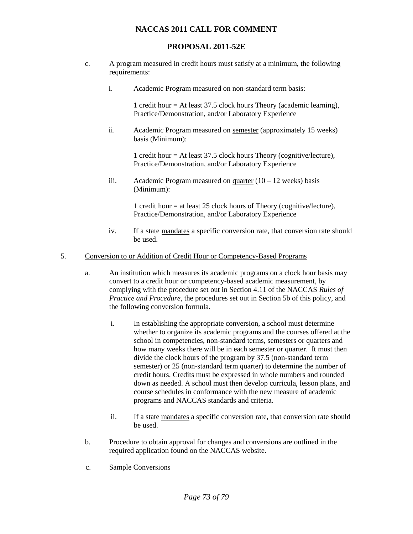# **PROPOSAL 2011-52E**

- c. A program measured in credit hours must satisfy at a minimum, the following requirements:
	- i. Academic Program measured on non-standard term basis:

1 credit hour = At least 37.5 clock hours Theory (academic learning), Practice/Demonstration, and/or Laboratory Experience

ii. Academic Program measured on semester (approximately 15 weeks) basis (Minimum):

> 1 credit hour = At least 37.5 clock hours Theory (cognitive/lecture), Practice/Demonstration, and/or Laboratory Experience

iii. Academic Program measured on  $\frac{quarter}{10} - 12$  weeks) basis (Minimum):

> 1 credit hour = at least 25 clock hours of Theory (cognitive/lecture), Practice/Demonstration, and/or Laboratory Experience

iv. If a state mandates a specific conversion rate, that conversion rate should be used.

## 5. Conversion to or Addition of Credit Hour or Competency-Based Programs

- a. An institution which measures its academic programs on a clock hour basis may convert to a credit hour or competency-based academic measurement, by complying with the procedure set out in Section 4.11 of the NACCAS *Rules of Practice and Procedure*, the procedures set out in Section 5b of this policy, and the following conversion formula.
	- i. In establishing the appropriate conversion, a school must determine whether to organize its academic programs and the courses offered at the school in competencies, non-standard terms, semesters or quarters and how many weeks there will be in each semester or quarter. It must then divide the clock hours of the program by 37.5 (non-standard term semester) or 25 (non-standard term quarter) to determine the number of credit hours. Credits must be expressed in whole numbers and rounded down as needed. A school must then develop curricula, lesson plans, and course schedules in conformance with the new measure of academic programs and NACCAS standards and criteria.
	- ii. If a state mandates a specific conversion rate, that conversion rate should be used.
- b. Procedure to obtain approval for changes and conversions are outlined in the required application found on the NACCAS website.
- c. Sample Conversions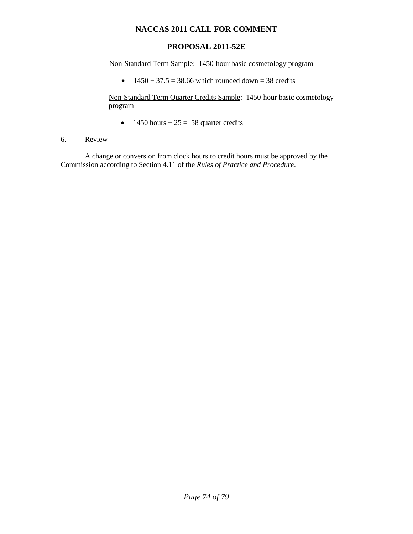# **PROPOSAL 2011-52E**

Non-Standard Term Sample: 1450-hour basic cosmetology program

 $\div$  1450  $\div$  37.5 = 38.66 which rounded down = 38 credits

Non-Standard Term Quarter Credits Sample: 1450-hour basic cosmetology program

• 1450 hours  $\div$  25 = 58 quarter credits

## 6. Review

A change or conversion from clock hours to credit hours must be approved by the Commission according to Section 4.11 of the *Rules of Practice and Procedure*.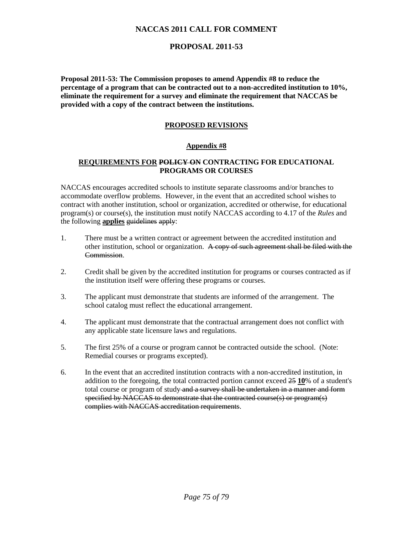# **PROPOSAL 2011-53**

**Proposal 2011-53: The Commission proposes to amend Appendix #8 to reduce the percentage of a program that can be contracted out to a non-accredited institution to 10%, eliminate the requirement for a survey and eliminate the requirement that NACCAS be provided with a copy of the contract between the institutions.** 

## **PROPOSED REVISIONS**

#### **Appendix #8**

### **REQUIREMENTS FOR POLICY ON CONTRACTING FOR EDUCATIONAL PROGRAMS OR COURSES**

NACCAS encourages accredited schools to institute separate classrooms and/or branches to accommodate overflow problems. However, in the event that an accredited school wishes to contract with another institution, school or organization, accredited or otherwise, for educational program(s) or course(s), the institution must notify NACCAS according to 4.17 of the *Rules* and the following **applies** guidelines apply:

- 1. There must be a written contract or agreement between the accredited institution and other institution, school or organization. A copy of such agreement shall be filed with the **Commission**
- 2. Credit shall be given by the accredited institution for programs or courses contracted as if the institution itself were offering these programs or courses.
- 3. The applicant must demonstrate that students are informed of the arrangement. The school catalog must reflect the educational arrangement.
- 4. The applicant must demonstrate that the contractual arrangement does not conflict with any applicable state licensure laws and regulations.
- 5. The first 25% of a course or program cannot be contracted outside the school. (Note: Remedial courses or programs excepted).
- 6. In the event that an accredited institution contracts with a non-accredited institution, in addition to the foregoing, the total contracted portion cannot exceed 25 **10**% of a student's total course or program of study and a survey shall be undertaken in a manner and form specified by NACCAS to demonstrate that the contracted course(s) or program(s) complies with NACCAS accreditation requirements.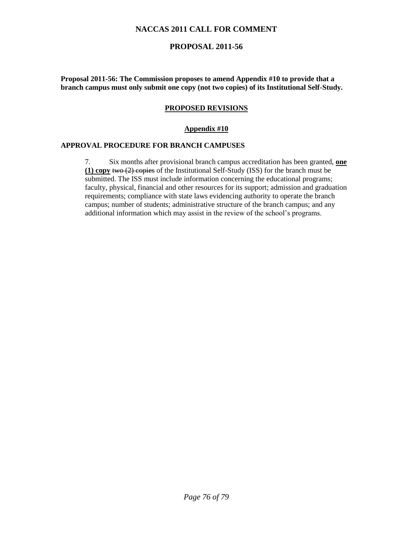# **PROPOSAL 2011-56**

**Proposal 2011-56: The Commission proposes to amend Appendix #10 to provide that a branch campus must only submit one copy (not two copies) of its Institutional Self-Study.** 

### **PROPOSED REVISIONS**

#### **Appendix #10**

### **APPROVAL PROCEDURE FOR BRANCH CAMPUSES**

7. Six months after provisional branch campus accreditation has been granted, **one (1) copy** two (2) copies of the Institutional Self-Study (ISS) for the branch must be submitted. The ISS must include information concerning the educational programs; faculty, physical, financial and other resources for its support; admission and graduation requirements; compliance with state laws evidencing authority to operate the branch campus; number of students; administrative structure of the branch campus; and any additional information which may assist in the review of the school's programs.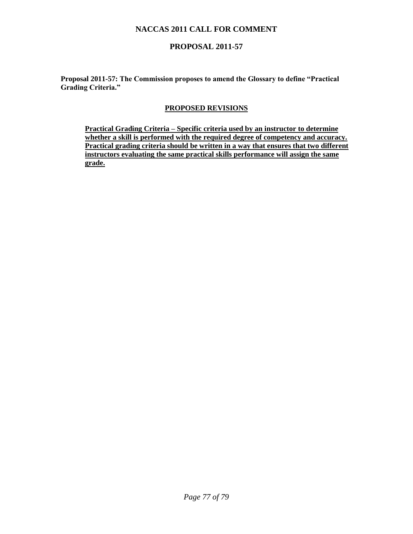# **PROPOSAL 2011-57**

**Proposal 2011-57: The Commission proposes to amend the Glossary to define "Practical Grading Criteria."** 

### **PROPOSED REVISIONS**

**Practical Grading Criteria – Specific criteria used by an instructor to determine whether a skill is performed with the required degree of competency and accuracy. Practical grading criteria should be written in a way that ensures that two different instructors evaluating the same practical skills performance will assign the same grade.**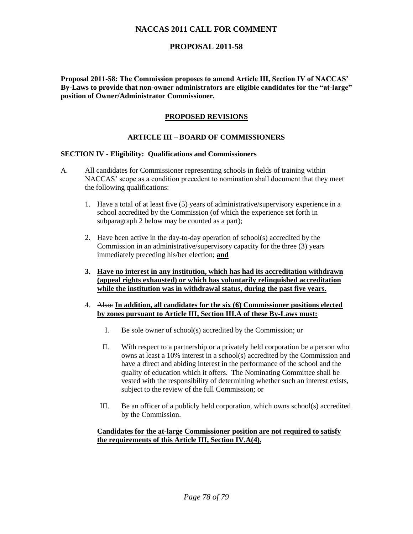## **PROPOSAL 2011-58**

**Proposal 2011-58: The Commission proposes to amend Article III, Section IV of NACCAS' By-Laws to provide that non-owner administrators are eligible candidates for the "at-large" position of Owner/Administrator Commissioner.** 

## **PROPOSED REVISIONS**

## **ARTICLE III – BOARD OF COMMISSIONERS**

#### **SECTION IV - Eligibility: Qualifications and Commissioners**

- A. All candidates for Commissioner representing schools in fields of training within NACCAS' scope as a condition precedent to nomination shall document that they meet the following qualifications:
	- 1. Have a total of at least five (5) years of administrative/supervisory experience in a school accredited by the Commission (of which the experience set forth in subparagraph 2 below may be counted as a part);
	- 2. Have been active in the day-to-day operation of school(s) accredited by the Commission in an administrative/supervisory capacity for the three (3) years immediately preceding his/her election; **and**
	- **3. Have no interest in any institution, which has had its accreditation withdrawn (appeal rights exhausted) or which has voluntarily relinquished accreditation while the institution was in withdrawal status, during the past five years.**
	- 4. Also: **In addition, all candidates for the six (6) Commissioner positions elected by zones pursuant to Article III, Section III.A of these By-Laws must:**
		- I. Be sole owner of school(s) accredited by the Commission; or
		- II. With respect to a partnership or a privately held corporation be a person who owns at least a 10% interest in a school(s) accredited by the Commission and have a direct and abiding interest in the performance of the school and the quality of education which it offers. The Nominating Committee shall be vested with the responsibility of determining whether such an interest exists, subject to the review of the full Commission; or
		- III. Be an officer of a publicly held corporation, which owns school(s) accredited by the Commission.

#### **Candidates for the at-large Commissioner position are not required to satisfy the requirements of this Article III, Section IV.A(4).**